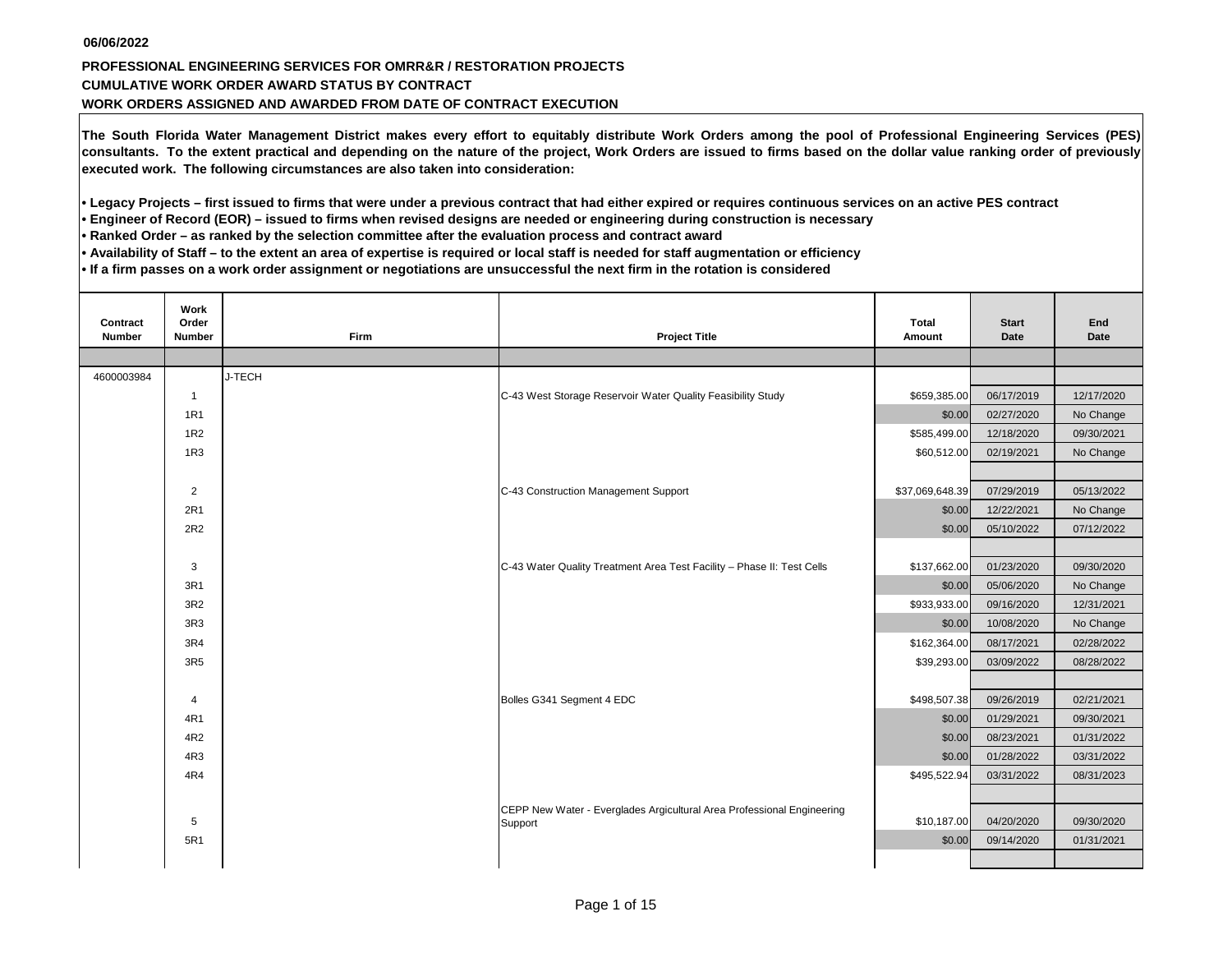## **CUMULATIVE WORK ORDER AWARD STATUS BY CONTRACT WORK ORDERS ASSIGNED AND AWARDED FROM DATE OF CONTRACT EXECUTION PROFESSIONAL ENGINEERING SERVICES FOR OMRR&R / RESTORATION PROJECTS**

**The South Florida Water Management District makes every effort to equitably distribute Work Orders among the pool of Professional Engineering Services (PES) consultants. To the extent practical and depending on the nature of the project, Work Orders are issued to firms based on the dollar value ranking order of previously executed work. The following circumstances are also taken into consideration:**

**• Legacy Projects – first issued to firms that were under a previous contract that had either expired or requires continuous services on an active PES contract** 

**• Engineer of Record (EOR) – issued to firms when revised designs are needed or engineering during construction is necessary**

**• Ranked Order – as ranked by the selection committee after the evaluation process and contract award**

**• Availability of Staff – to the extent an area of expertise is required or local staff is needed for staff augmentation or efficiency**

**• If a firm passes on a work order assignment or negotiations are unsuccessful the next firm in the rotation is considered** 

| Contract<br><b>Number</b> | Work<br>Order<br><b>Number</b> | <b>Firm</b> | <b>Project Title</b>                                                              | Total<br>Amount | <b>Start</b><br>Date | End<br>Date |
|---------------------------|--------------------------------|-------------|-----------------------------------------------------------------------------------|-----------------|----------------------|-------------|
|                           |                                |             |                                                                                   |                 |                      |             |
| 4600003984                |                                | J-TECH      |                                                                                   |                 |                      |             |
|                           | $\mathbf{1}$                   |             | C-43 West Storage Reservoir Water Quality Feasibility Study                       | \$659,385.00    | 06/17/2019           | 12/17/2020  |
|                           | 1R1                            |             |                                                                                   | \$0.00          | 02/27/2020           | No Change   |
|                           | 1 <sub>R2</sub>                |             |                                                                                   | \$585,499.00    | 12/18/2020           | 09/30/2021  |
|                           | 1R3                            |             |                                                                                   | \$60,512.00     | 02/19/2021           | No Change   |
|                           |                                |             |                                                                                   |                 |                      |             |
|                           | $\overline{2}$                 |             | C-43 Construction Management Support                                              | \$37,069,648.39 | 07/29/2019           | 05/13/2022  |
|                           | 2R1                            |             |                                                                                   | \$0.00          | 12/22/2021           | No Change   |
|                           | 2R2                            |             |                                                                                   | \$0.00          | 05/10/2022           | 07/12/2022  |
|                           |                                |             |                                                                                   |                 |                      |             |
|                           | 3                              |             | C-43 Water Quality Treatment Area Test Facility - Phase II: Test Cells            | \$137,662.00    | 01/23/2020           | 09/30/2020  |
|                           | 3R1                            |             |                                                                                   | \$0.00          | 05/06/2020           | No Change   |
|                           | 3R2                            |             |                                                                                   | \$933,933.00    | 09/16/2020           | 12/31/2021  |
|                           | 3R3                            |             |                                                                                   | \$0.00          | 10/08/2020           | No Change   |
|                           | 3R4                            |             |                                                                                   | \$162,364.00    | 08/17/2021           | 02/28/2022  |
|                           | 3R <sub>5</sub>                |             |                                                                                   | \$39,293.00     | 03/09/2022           | 08/28/2022  |
|                           |                                |             |                                                                                   |                 |                      |             |
|                           | 4                              |             | Bolles G341 Segment 4 EDC                                                         | \$498,507.38    | 09/26/2019           | 02/21/2021  |
|                           | 4R1                            |             |                                                                                   | \$0.00          | 01/29/2021           | 09/30/2021  |
|                           | 4R2                            |             |                                                                                   | \$0.00          | 08/23/2021           | 01/31/2022  |
|                           | 4R3                            |             |                                                                                   | \$0.00          | 01/28/2022           | 03/31/2022  |
|                           | 4R4                            |             |                                                                                   | \$495,522.94    | 03/31/2022           | 08/31/2023  |
|                           |                                |             |                                                                                   |                 |                      |             |
|                           | 5                              |             | CEPP New Water - Everglades Argicultural Area Professional Engineering<br>Support | \$10,187.00     | 04/20/2020           | 09/30/2020  |
|                           | 5R1                            |             |                                                                                   | \$0.00          | 09/14/2020           | 01/31/2021  |
|                           |                                |             |                                                                                   |                 |                      |             |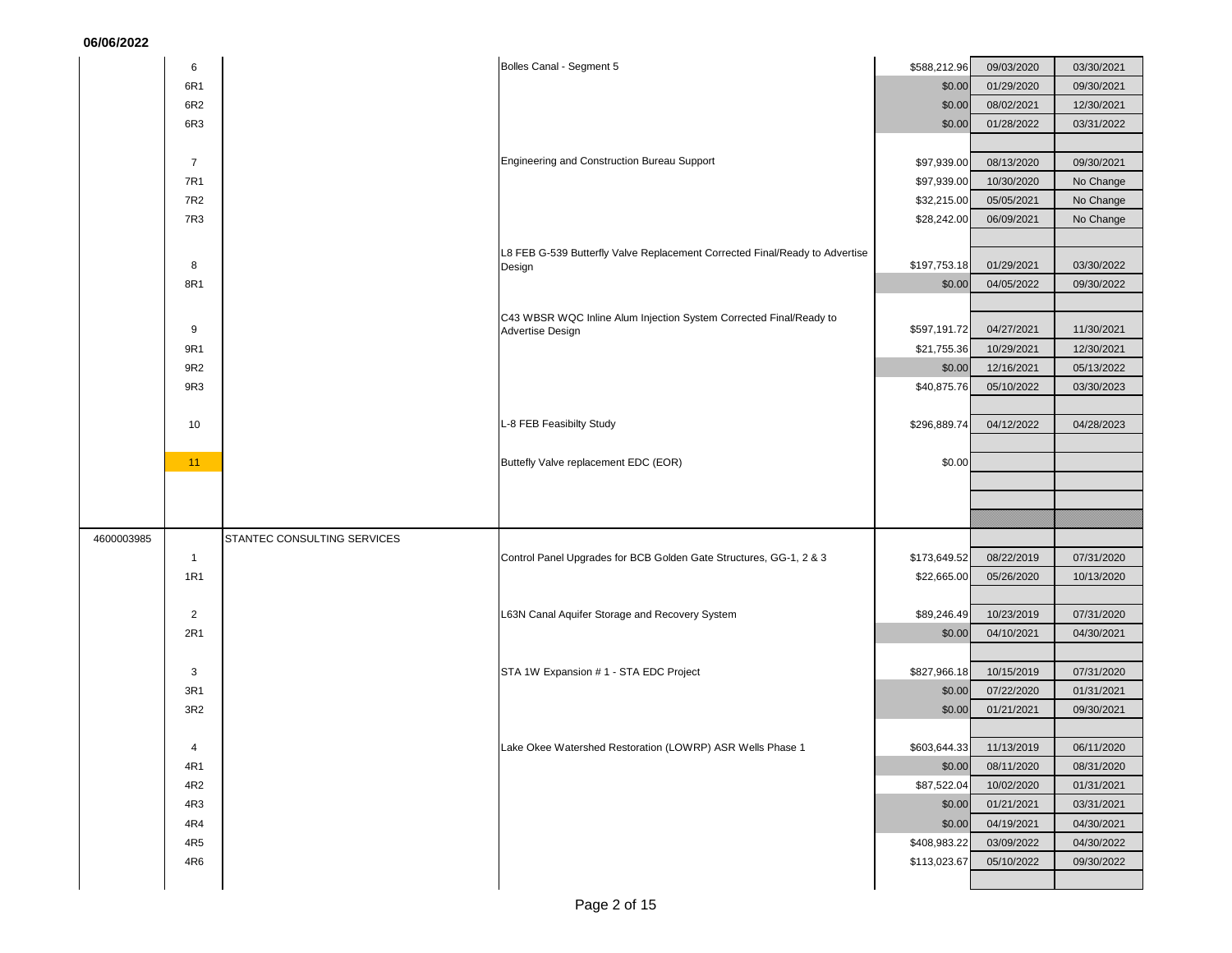|            | 6              | Bolles Canal - Segment 5                                                    | \$588,212.96 | 09/03/2020              | 03/30/2021 |
|------------|----------------|-----------------------------------------------------------------------------|--------------|-------------------------|------------|
|            | 6R1            |                                                                             | \$0.00       | 01/29/2020              | 09/30/2021 |
|            | 6R2            |                                                                             | \$0.00       | 08/02/2021              | 12/30/2021 |
|            | 6R3            |                                                                             | \$0.00       | 01/28/2022              | 03/31/2022 |
|            |                |                                                                             |              |                         |            |
|            | $\overline{7}$ | Engineering and Construction Bureau Support                                 | \$97,939.00  | 08/13/2020              | 09/30/2021 |
|            | 7R1            |                                                                             | \$97,939.00  | 10/30/2020              | No Change  |
|            | 7R2            |                                                                             | \$32,215.00  | 05/05/2021              | No Change  |
|            | 7R3            |                                                                             | \$28,242.00  | 06/09/2021              | No Change  |
|            |                |                                                                             |              |                         |            |
|            | 8              | L8 FEB G-539 Butterfly Valve Replacement Corrected Final/Ready to Advertise | \$197,753.18 | 01/29/2021              | 03/30/2022 |
|            | 8R1            | Design                                                                      | \$0.00       | 04/05/2022              |            |
|            |                |                                                                             |              |                         | 09/30/2022 |
|            |                | C43 WBSR WQC Inline Alum Injection System Corrected Final/Ready to          |              |                         |            |
|            | 9              | Advertise Design                                                            | \$597,191.72 | 04/27/2021              | 11/30/2021 |
|            | 9R1            |                                                                             | \$21,755.36  | 10/29/2021              | 12/30/2021 |
|            | 9R2            |                                                                             | \$0.00       | 12/16/2021              | 05/13/2022 |
|            | 9R3            |                                                                             | \$40,875.76  | 05/10/2022              | 03/30/2023 |
|            |                |                                                                             |              |                         |            |
|            | 10             | L-8 FEB Feasibilty Study                                                    | \$296,889.74 | 04/12/2022              | 04/28/2023 |
|            |                |                                                                             |              |                         |            |
|            | 11             | Buttefly Valve replacement EDC (EOR)                                        | \$0.00       |                         |            |
|            |                |                                                                             |              |                         |            |
|            |                |                                                                             |              |                         |            |
|            |                |                                                                             |              |                         |            |
|            |                |                                                                             |              |                         |            |
| 4600003985 |                | STANTEC CONSULTING SERVICES                                                 |              |                         |            |
|            | $\mathbf{1}$   | Control Panel Upgrades for BCB Golden Gate Structures, GG-1, 2 & 3          | \$173,649.52 | 08/22/2019              | 07/31/2020 |
|            | <b>1R1</b>     |                                                                             | \$22,665.00  | 05/26/2020              | 10/13/2020 |
|            |                |                                                                             |              |                         |            |
|            | $\overline{2}$ | L63N Canal Aquifer Storage and Recovery System                              | \$89,246.49  | 10/23/2019              | 07/31/2020 |
|            | 2R1            |                                                                             | \$0.00       | 04/10/2021              | 04/30/2021 |
|            |                |                                                                             |              |                         |            |
|            | 3              | STA 1W Expansion # 1 - STA EDC Project                                      | \$827,966.18 | 10/15/2019              | 07/31/2020 |
|            | 3R1            |                                                                             | \$0.00       | 07/22/2020              | 01/31/2021 |
|            | 3R2            |                                                                             | \$0.00       | 01/21/2021              | 09/30/2021 |
|            |                |                                                                             |              |                         |            |
|            |                | Lake Okee Watershed Restoration (LOWRP) ASR Wells Phase 1                   |              | \$603,644.33 11/13/2019 | 06/11/2020 |
|            | 4R1            |                                                                             | \$0.00       | 08/11/2020              | 08/31/2020 |
|            | 4R2            |                                                                             | \$87,522.04  | 10/02/2020              | 01/31/2021 |
|            | 4R3            |                                                                             | \$0.00       | 01/21/2021              | 03/31/2021 |
|            | 4R4            |                                                                             | \$0.00       | 04/19/2021              | 04/30/2021 |
|            | 4R5            |                                                                             | \$408,983.22 | 03/09/2022              | 04/30/2022 |
|            | 4R6            |                                                                             | \$113,023.67 | 05/10/2022              | 09/30/2022 |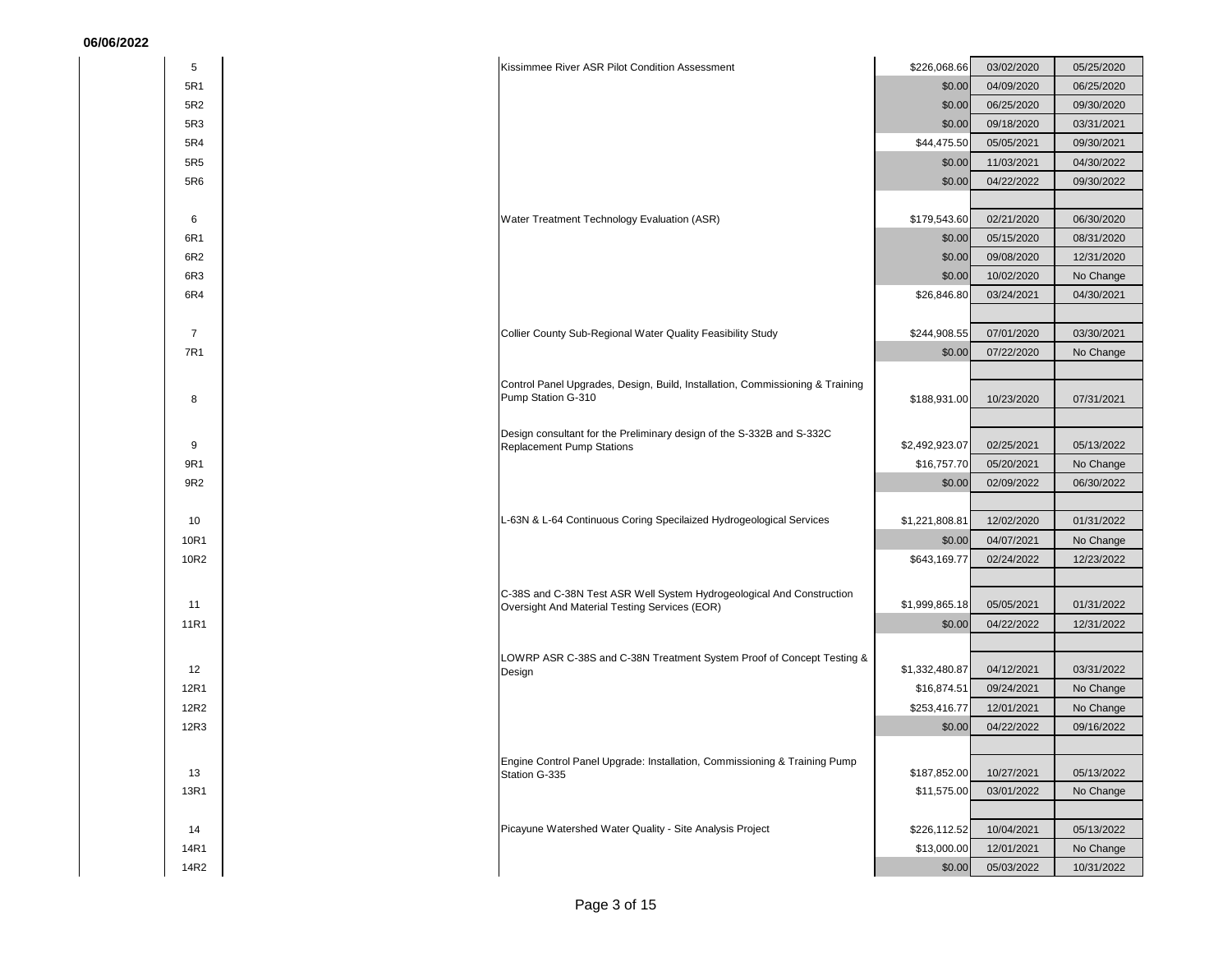| 5R1<br>\$0.00<br>5R2<br>\$0.00<br>5R3<br>\$0.00                                                                  | 04/09/2020<br>06/25/2020<br>06/25/2020<br>09/30/2020<br>09/18/2020<br>03/31/2021<br>05/05/2021<br>09/30/2021 |
|------------------------------------------------------------------------------------------------------------------|--------------------------------------------------------------------------------------------------------------|
|                                                                                                                  |                                                                                                              |
|                                                                                                                  |                                                                                                              |
|                                                                                                                  |                                                                                                              |
| 5R4<br>\$44,475.50                                                                                               |                                                                                                              |
| 5R5<br>\$0.00                                                                                                    | 11/03/2021<br>04/30/2022                                                                                     |
| 5R6<br>\$0.00                                                                                                    | 04/22/2022<br>09/30/2022                                                                                     |
|                                                                                                                  |                                                                                                              |
| Water Treatment Technology Evaluation (ASR)<br>\$179,543.60<br>6                                                 | 02/21/2020<br>06/30/2020                                                                                     |
| 6R1<br>\$0.00                                                                                                    | 05/15/2020<br>08/31/2020                                                                                     |
| 6R2<br>\$0.00                                                                                                    | 09/08/2020<br>12/31/2020                                                                                     |
| 6R <sub>3</sub><br>\$0.00                                                                                        | 10/02/2020<br>No Change                                                                                      |
| 6R4<br>\$26,846.80                                                                                               | 03/24/2021<br>04/30/2021                                                                                     |
| $\overline{7}$<br>\$244,908.55                                                                                   | 07/01/2020<br>03/30/2021                                                                                     |
| Collier County Sub-Regional Water Quality Feasibility Study<br>7R1<br>\$0.00                                     | 07/22/2020<br>No Change                                                                                      |
|                                                                                                                  |                                                                                                              |
| Control Panel Upgrades, Design, Build, Installation, Commissioning & Training                                    |                                                                                                              |
| Pump Station G-310<br>8<br>\$188,931.00                                                                          | 10/23/2020<br>07/31/2021                                                                                     |
| Design consultant for the Preliminary design of the S-332B and S-332C                                            |                                                                                                              |
| 9<br>\$2,492,923.07<br><b>Replacement Pump Stations</b>                                                          | 02/25/2021<br>05/13/2022                                                                                     |
| 9R1<br>\$16,757.70                                                                                               | 05/20/2021<br>No Change                                                                                      |
| 9R2<br>\$0.00                                                                                                    | 02/09/2022<br>06/30/2022                                                                                     |
|                                                                                                                  |                                                                                                              |
| L-63N & L-64 Continuous Coring Specilaized Hydrogeological Services<br>\$1,221,808.81<br>10                      | 12/02/2020<br>01/31/2022                                                                                     |
| 10R1<br>\$0.00                                                                                                   | 04/07/2021<br>No Change                                                                                      |
| 10R2<br>\$643,169.77                                                                                             | 02/24/2022<br>12/23/2022                                                                                     |
| C-38S and C-38N Test ASR Well System Hydrogeological And Construction                                            |                                                                                                              |
| \$1,999,865.18<br>11<br>Oversight And Material Testing Services (EOR)                                            | 05/05/2021<br>01/31/2022                                                                                     |
| 11R1<br>\$0.00                                                                                                   | 04/22/2022<br>12/31/2022                                                                                     |
|                                                                                                                  |                                                                                                              |
| LOWRP ASR C-38S and C-38N Treatment System Proof of Concept Testing &<br>\$1,332,480.87<br>12<br>Design          | 04/12/2021<br>03/31/2022                                                                                     |
| 12R1<br>\$16,874.51                                                                                              | 09/24/2021<br>No Change                                                                                      |
| 12R2<br>\$253,416.77                                                                                             | 12/01/2021<br>No Change                                                                                      |
| 12R3<br>\$0.00                                                                                                   | 04/22/2022<br>09/16/2022                                                                                     |
|                                                                                                                  |                                                                                                              |
| Engine Control Panel Upgrade: Installation, Commissioning & Training Pump<br>13<br>\$187,852.00<br>Station G-335 | 05/13/2022<br>10/27/2021                                                                                     |
| 13R1<br>\$11,575.00                                                                                              | 03/01/2022<br>No Change                                                                                      |
|                                                                                                                  |                                                                                                              |
| Picayune Watershed Water Quality - Site Analysis Project<br>\$226,112.52<br>14                                   | 10/04/2021<br>05/13/2022                                                                                     |
| 14R1<br>\$13,000.00                                                                                              | 12/01/2021<br>No Change                                                                                      |
| 14R2<br>\$0.00                                                                                                   | 05/03/2022<br>10/31/2022                                                                                     |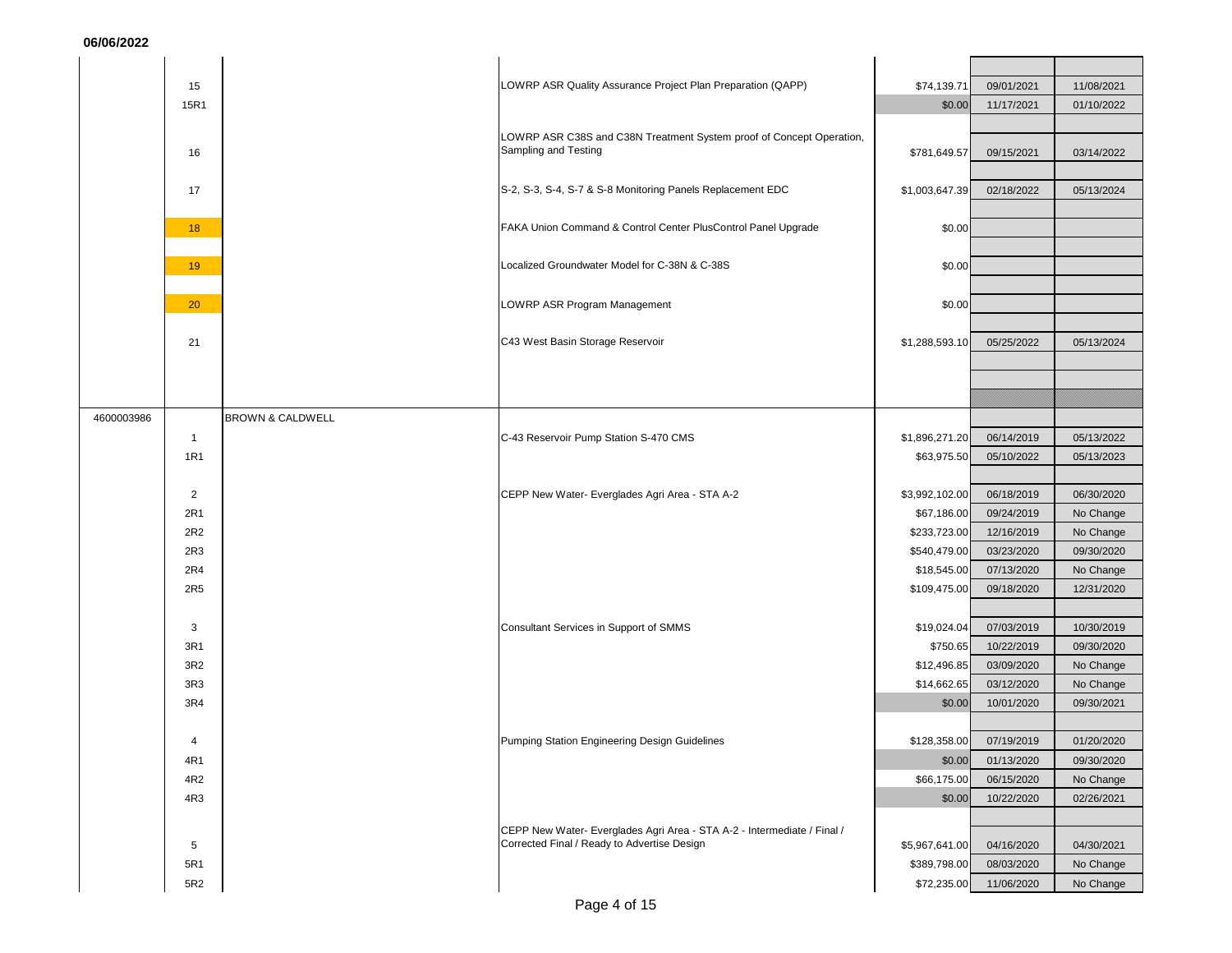|            | 15              |                             | LOWRP ASR Quality Assurance Project Plan Preparation (QAPP)                                                            | \$74,139.71    | 09/01/2021 | 11/08/2021 |
|------------|-----------------|-----------------------------|------------------------------------------------------------------------------------------------------------------------|----------------|------------|------------|
|            | 15R1            |                             |                                                                                                                        | \$0.00         | 11/17/2021 | 01/10/2022 |
|            |                 |                             |                                                                                                                        |                |            |            |
|            |                 |                             | LOWRP ASR C38S and C38N Treatment System proof of Concept Operation,                                                   |                |            |            |
|            | 16              |                             | Sampling and Testing                                                                                                   | \$781,649.57   | 09/15/2021 | 03/14/2022 |
|            |                 |                             |                                                                                                                        |                |            |            |
|            | 17              |                             | S-2, S-3, S-4, S-7 & S-8 Monitoring Panels Replacement EDC                                                             | \$1,003,647.39 | 02/18/2022 | 05/13/2024 |
|            |                 |                             |                                                                                                                        |                |            |            |
|            | 18              |                             | FAKA Union Command & Control Center PlusControl Panel Upgrade                                                          | \$0.00         |            |            |
|            |                 |                             |                                                                                                                        |                |            |            |
|            | 19              |                             | Localized Groundwater Model for C-38N & C-38S                                                                          | \$0.00         |            |            |
|            |                 |                             |                                                                                                                        |                |            |            |
|            | 20              |                             | LOWRP ASR Program Management                                                                                           | \$0.00         |            |            |
|            |                 |                             |                                                                                                                        |                |            |            |
|            | 21              |                             | C43 West Basin Storage Reservoir                                                                                       | \$1,288,593.10 | 05/25/2022 | 05/13/2024 |
|            |                 |                             |                                                                                                                        |                |            |            |
|            |                 |                             |                                                                                                                        |                |            |            |
|            |                 |                             |                                                                                                                        |                |            |            |
| 4600003986 |                 | <b>BROWN &amp; CALDWELL</b> |                                                                                                                        |                |            |            |
|            | $\mathbf{1}$    |                             | C-43 Reservoir Pump Station S-470 CMS                                                                                  | \$1,896,271.20 | 06/14/2019 | 05/13/2022 |
|            | <b>1R1</b>      |                             |                                                                                                                        | \$63,975.50    | 05/10/2022 | 05/13/2023 |
|            |                 |                             |                                                                                                                        |                |            |            |
|            | $\overline{2}$  |                             | CEPP New Water- Everglades Agri Area - STA A-2                                                                         | \$3,992,102.00 | 06/18/2019 | 06/30/2020 |
|            | 2R1             |                             |                                                                                                                        | \$67,186.00    | 09/24/2019 | No Change  |
|            | 2R2             |                             |                                                                                                                        | \$233,723.00   | 12/16/2019 | No Change  |
|            | 2R3             |                             |                                                                                                                        | \$540,479.00   | 03/23/2020 | 09/30/2020 |
|            | 2R4             |                             |                                                                                                                        | \$18,545.00    | 07/13/2020 | No Change  |
|            | 2R5             |                             |                                                                                                                        | \$109,475.00   | 09/18/2020 | 12/31/2020 |
|            |                 |                             |                                                                                                                        |                |            |            |
|            | 3               |                             | Consultant Services in Support of SMMS                                                                                 | \$19,024.04    | 07/03/2019 | 10/30/2019 |
|            | 3R1             |                             |                                                                                                                        | \$750.65       | 10/22/2019 | 09/30/2020 |
|            | 3R2             |                             |                                                                                                                        | \$12,496.85    | 03/09/2020 | No Change  |
|            | 3R <sub>3</sub> |                             |                                                                                                                        | \$14,662.65    | 03/12/2020 | No Change  |
|            | 3R4             |                             |                                                                                                                        | \$0.00         | 10/01/2020 | 09/30/2021 |
|            |                 |                             |                                                                                                                        |                |            |            |
|            | $\overline{4}$  |                             | Pumping Station Engineering Design Guidelines                                                                          | \$128,358.00   | 07/19/2019 | 01/20/2020 |
|            | 4R1             |                             |                                                                                                                        | \$0.00         | 01/13/2020 | 09/30/2020 |
|            | 4R2             |                             |                                                                                                                        | \$66,175.00    | 06/15/2020 | No Change  |
|            | 4R3             |                             |                                                                                                                        | \$0.00         | 10/22/2020 | 02/26/2021 |
|            |                 |                             |                                                                                                                        |                |            |            |
|            |                 |                             | CEPP New Water- Everglades Agri Area - STA A-2 - Intermediate / Final /<br>Corrected Final / Ready to Advertise Design |                |            |            |
|            | 5               |                             |                                                                                                                        | \$5,967,641.00 | 04/16/2020 | 04/30/2021 |
|            | 5R1             |                             |                                                                                                                        | \$389,798.00   | 08/03/2020 | No Change  |
|            | 5R2             |                             |                                                                                                                        | \$72,235.00    | 11/06/2020 | No Change  |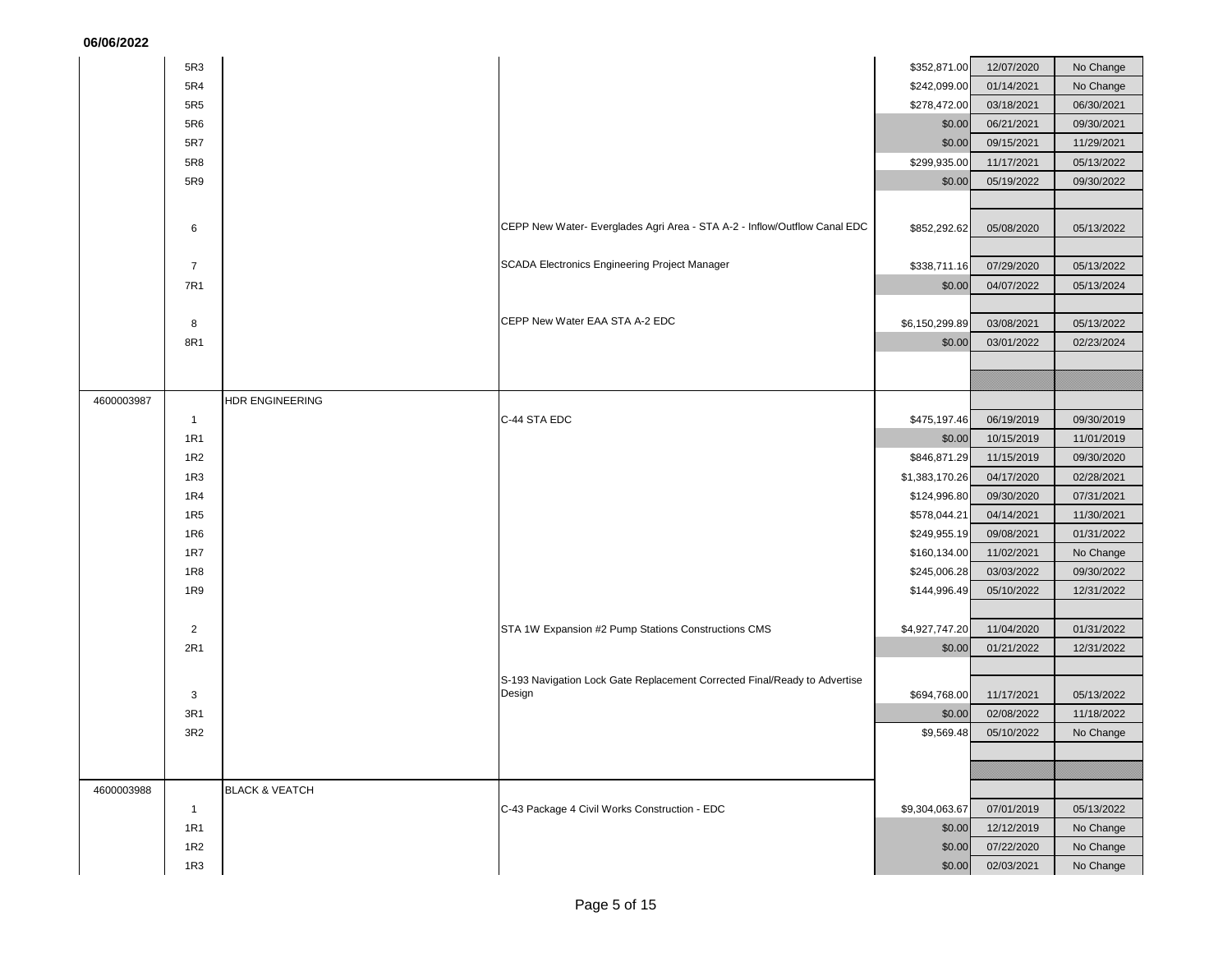| 06/06/2022 |  |
|------------|--|
|------------|--|

| VV/VV/V    |                 |                           |                                                                           |                |            |            |
|------------|-----------------|---------------------------|---------------------------------------------------------------------------|----------------|------------|------------|
|            | 5R3             |                           |                                                                           | \$352,871.00   | 12/07/2020 | No Change  |
|            | 5R4             |                           |                                                                           | \$242,099.00   | 01/14/2021 | No Change  |
|            | 5R <sub>5</sub> |                           |                                                                           | \$278,472.00   | 03/18/2021 | 06/30/2021 |
|            | 5R6             |                           |                                                                           | \$0.00         | 06/21/2021 | 09/30/2021 |
|            | 5R7             |                           |                                                                           | \$0.00         | 09/15/2021 | 11/29/2021 |
|            | 5R8             |                           |                                                                           | \$299,935.00   | 11/17/2021 | 05/13/2022 |
|            | 5R9             |                           |                                                                           | \$0.00         | 05/19/2022 | 09/30/2022 |
|            |                 |                           |                                                                           |                |            |            |
|            | 6               |                           | CEPP New Water- Everglades Agri Area - STA A-2 - Inflow/Outflow Canal EDC | \$852,292.62   | 05/08/2020 | 05/13/2022 |
|            |                 |                           |                                                                           |                |            |            |
|            | $\overline{7}$  |                           | SCADA Electronics Engineering Project Manager                             | \$338,711.16   | 07/29/2020 | 05/13/2022 |
|            | 7R1             |                           |                                                                           | \$0.00         | 04/07/2022 | 05/13/2024 |
|            |                 |                           |                                                                           |                |            |            |
|            | 8               |                           | CEPP New Water EAA STA A-2 EDC                                            | \$6,150,299.89 | 03/08/2021 | 05/13/2022 |
|            | 8R1             |                           |                                                                           | \$0.00         | 03/01/2022 | 02/23/2024 |
|            |                 |                           |                                                                           |                |            |            |
|            |                 |                           |                                                                           |                |            |            |
| 4600003987 |                 | HDR ENGINEERING           |                                                                           |                |            |            |
|            | $\mathbf{1}$    |                           | C-44 STA EDC                                                              | \$475,197.46   | 06/19/2019 | 09/30/2019 |
|            | <b>1R1</b>      |                           |                                                                           | \$0.00         | 10/15/2019 | 11/01/2019 |
|            | 1 <sub>R2</sub> |                           |                                                                           | \$846,871.29   | 11/15/2019 | 09/30/2020 |
|            | 1R3             |                           |                                                                           | \$1,383,170.26 | 04/17/2020 | 02/28/2021 |
|            | <b>1R4</b>      |                           |                                                                           | \$124,996.80   | 09/30/2020 | 07/31/2021 |
|            | 1R <sub>5</sub> |                           |                                                                           | \$578,044.21   | 04/14/2021 | 11/30/2021 |
|            | 1R6             |                           |                                                                           | \$249,955.19   | 09/08/2021 | 01/31/2022 |
|            | 1R7             |                           |                                                                           | \$160,134.00   | 11/02/2021 | No Change  |
|            | <b>1R8</b>      |                           |                                                                           | \$245,006.28   | 03/03/2022 | 09/30/2022 |
|            | 1R9             |                           |                                                                           | \$144,996.49   | 05/10/2022 | 12/31/2022 |
|            |                 |                           |                                                                           |                |            |            |
|            | $\overline{2}$  |                           | STA 1W Expansion #2 Pump Stations Constructions CMS                       | \$4,927,747.20 | 11/04/2020 | 01/31/2022 |
|            | 2R1             |                           |                                                                           | \$0.00         | 01/21/2022 | 12/31/2022 |
|            |                 |                           | S-193 Navigation Lock Gate Replacement Corrected Final/Ready to Advertise |                |            |            |
|            | 3               |                           | Design                                                                    | \$694,768.00   | 11/17/2021 | 05/13/2022 |
|            | 3R1             |                           |                                                                           | \$0.00         | 02/08/2022 | 11/18/2022 |
|            | 3R2             |                           |                                                                           | \$9,569.48     | 05/10/2022 | No Change  |
|            |                 |                           |                                                                           |                |            |            |
|            |                 |                           |                                                                           |                |            |            |
| 4600003988 |                 | <b>BLACK &amp; VEATCH</b> |                                                                           |                |            |            |
|            | $\mathbf{1}$    |                           | C-43 Package 4 Civil Works Construction - EDC                             | \$9,304,063.67 | 07/01/2019 | 05/13/2022 |
|            | 1R1             |                           |                                                                           | \$0.00         | 12/12/2019 | No Change  |
|            | 1R2             |                           |                                                                           | \$0.00         | 07/22/2020 | No Change  |
|            | 1R3             |                           |                                                                           | \$0.00         | 02/03/2021 | No Change  |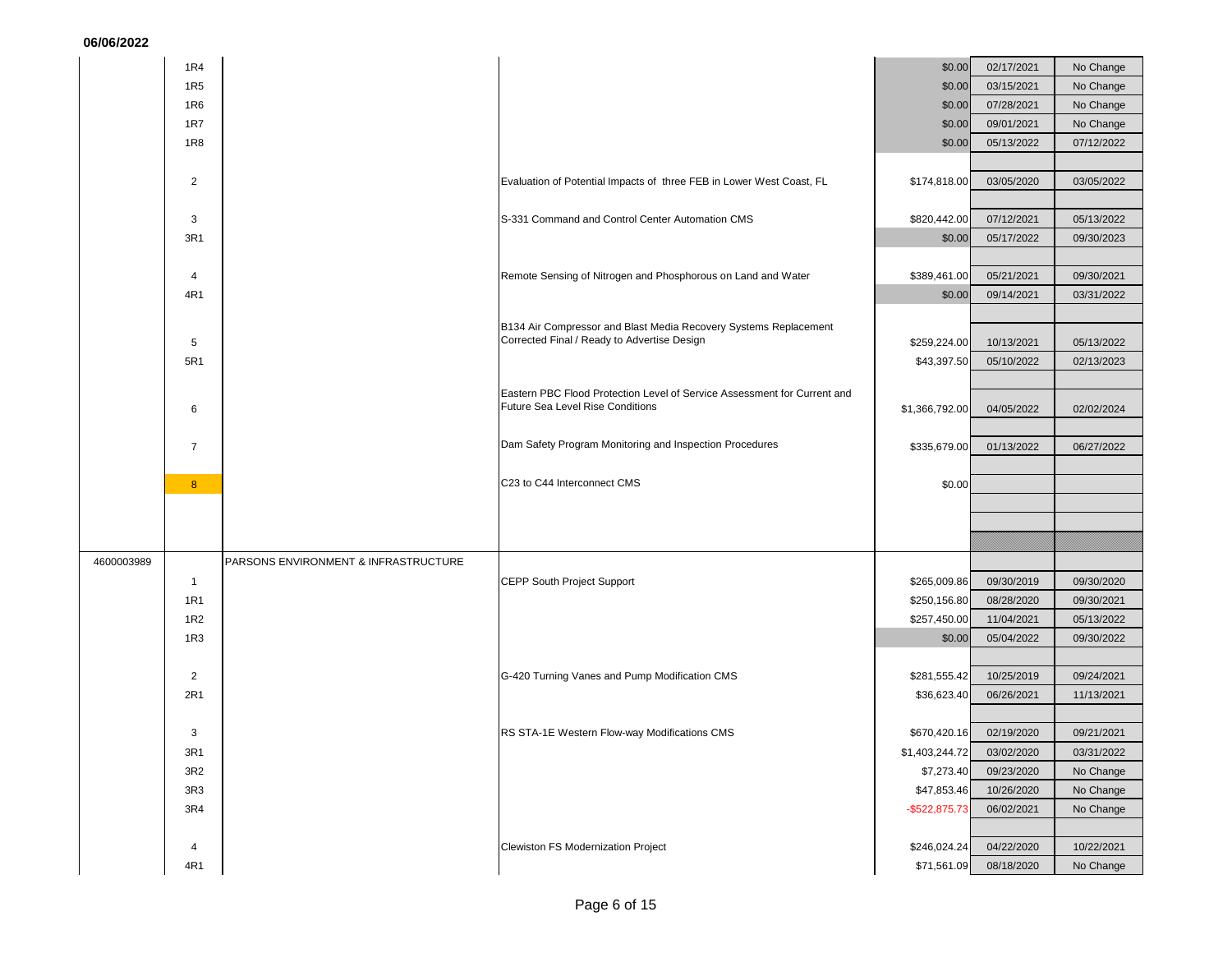|            | 1R4             |                                      |                                                                                                                 | \$0.00           | 02/17/2021 | No Change  |
|------------|-----------------|--------------------------------------|-----------------------------------------------------------------------------------------------------------------|------------------|------------|------------|
|            | 1R <sub>5</sub> |                                      |                                                                                                                 | \$0.00           | 03/15/2021 | No Change  |
|            | 1R6             |                                      |                                                                                                                 | \$0.00           | 07/28/2021 | No Change  |
|            | 1R7             |                                      |                                                                                                                 | \$0.00           | 09/01/2021 | No Change  |
|            | 1R8             |                                      |                                                                                                                 | \$0.00           | 05/13/2022 | 07/12/2022 |
|            |                 |                                      |                                                                                                                 |                  |            |            |
|            | $\overline{2}$  |                                      | Evaluation of Potential Impacts of three FEB in Lower West Coast, FL                                            | \$174,818.00     | 03/05/2020 | 03/05/2022 |
|            |                 |                                      |                                                                                                                 |                  |            |            |
|            | 3               |                                      | S-331 Command and Control Center Automation CMS                                                                 | \$820,442.00     | 07/12/2021 | 05/13/2022 |
|            | 3R1             |                                      |                                                                                                                 | \$0.00           | 05/17/2022 | 09/30/2023 |
|            |                 |                                      |                                                                                                                 |                  |            |            |
|            | 4               |                                      | Remote Sensing of Nitrogen and Phosphorous on Land and Water                                                    | \$389,461.00     | 05/21/2021 | 09/30/2021 |
|            | 4R1             |                                      |                                                                                                                 | \$0.00           | 09/14/2021 | 03/31/2022 |
|            |                 |                                      |                                                                                                                 |                  |            |            |
|            |                 |                                      | B134 Air Compressor and Blast Media Recovery Systems Replacement<br>Corrected Final / Ready to Advertise Design |                  |            |            |
|            | 5<br>5R1        |                                      |                                                                                                                 | \$259,224.00     | 10/13/2021 | 05/13/2022 |
|            |                 |                                      |                                                                                                                 | \$43,397.50      | 05/10/2022 | 02/13/2023 |
|            |                 |                                      | Eastern PBC Flood Protection Level of Service Assessment for Current and                                        |                  |            |            |
|            | 6               |                                      | <b>Future Sea Level Rise Conditions</b>                                                                         | \$1,366,792.00   | 04/05/2022 | 02/02/2024 |
|            |                 |                                      |                                                                                                                 |                  |            |            |
|            | $\overline{7}$  |                                      | Dam Safety Program Monitoring and Inspection Procedures                                                         | \$335,679.00     | 01/13/2022 | 06/27/2022 |
|            |                 |                                      |                                                                                                                 |                  |            |            |
|            | 8 <sup>°</sup>  |                                      | C23 to C44 Interconnect CMS                                                                                     | \$0.00           |            |            |
|            |                 |                                      |                                                                                                                 |                  |            |            |
|            |                 |                                      |                                                                                                                 |                  |            |            |
|            |                 |                                      |                                                                                                                 |                  |            |            |
| 4600003989 |                 | PARSONS ENVIRONMENT & INFRASTRUCTURE |                                                                                                                 |                  |            |            |
|            | $\overline{1}$  |                                      | <b>CEPP South Project Support</b>                                                                               | \$265,009.86     | 09/30/2019 | 09/30/2020 |
|            | 1R1             |                                      |                                                                                                                 | \$250,156.80     | 08/28/2020 | 09/30/2021 |
|            | 1R <sub>2</sub> |                                      |                                                                                                                 | \$257,450.00     | 11/04/2021 | 05/13/2022 |
|            | 1R3             |                                      |                                                                                                                 | \$0.00           | 05/04/2022 | 09/30/2022 |
|            |                 |                                      |                                                                                                                 |                  |            |            |
|            | $\overline{2}$  |                                      | G-420 Turning Vanes and Pump Modification CMS                                                                   | \$281,555.42     | 10/25/2019 | 09/24/2021 |
|            | 2R1             |                                      |                                                                                                                 | \$36,623.40      | 06/26/2021 | 11/13/2021 |
|            |                 |                                      |                                                                                                                 |                  |            |            |
|            | 3               |                                      | RS STA-1E Western Flow-way Modifications CMS                                                                    | \$670,420.16     | 02/19/2020 | 09/21/2021 |
|            | 3R1             |                                      |                                                                                                                 | \$1,403,244.72   | 03/02/2020 | 03/31/2022 |
|            | 3R2             |                                      |                                                                                                                 | \$7,273.40       | 09/23/2020 | No Change  |
|            | 3R <sub>3</sub> |                                      |                                                                                                                 | \$47,853.46      | 10/26/2020 | No Change  |
|            | 3R4             |                                      |                                                                                                                 | $-$ \$522,875.73 | 06/02/2021 | No Change  |
|            |                 |                                      |                                                                                                                 |                  |            |            |
|            | 4               |                                      | Clewiston FS Modernization Project                                                                              | \$246,024.24     | 04/22/2020 | 10/22/2021 |
|            | 4R1             |                                      |                                                                                                                 | \$71,561.09      | 08/18/2020 | No Change  |
|            |                 |                                      |                                                                                                                 |                  |            |            |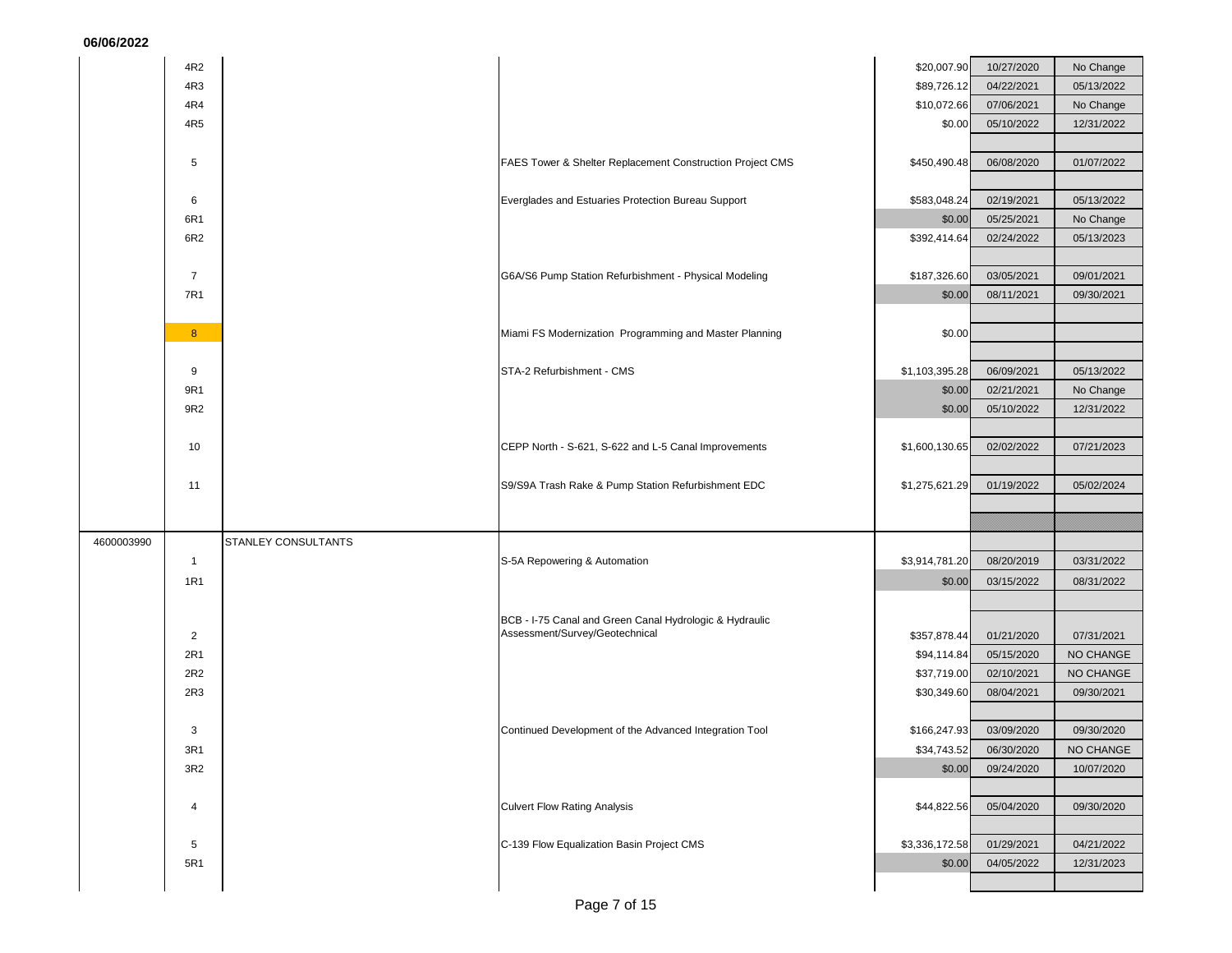| 06/06/2022     |                     |                                                           |                          |                         |            |
|----------------|---------------------|-----------------------------------------------------------|--------------------------|-------------------------|------------|
| 4R2            |                     |                                                           | \$20,007.90              | 10/27/2020              | No Change  |
| 4R3            |                     |                                                           | \$89,726.12              | 04/22/2021              | 05/13/2022 |
| 4R4            |                     |                                                           | \$10,072.66              | 07/06/2021              | No Change  |
| 4R5            |                     |                                                           | \$0.00                   | 05/10/2022              | 12/31/2022 |
|                |                     |                                                           |                          |                         |            |
| 5              |                     | FAES Tower & Shelter Replacement Construction Project CMS | \$450,490.48             | 06/08/2020              | 01/07/2022 |
|                |                     |                                                           |                          |                         |            |
| 6              |                     | Everglades and Estuaries Protection Bureau Support        | \$583,048.24             | 02/19/2021              | 05/13/2022 |
| 6R1            |                     |                                                           | \$0.00                   | 05/25/2021              | No Change  |
| 6R2            |                     |                                                           | \$392,414.64             | 02/24/2022              | 05/13/2023 |
|                |                     |                                                           |                          |                         |            |
| $\overline{7}$ |                     | G6A/S6 Pump Station Refurbishment - Physical Modeling     | \$187,326.60             | 03/05/2021              | 09/01/2021 |
| <b>7R1</b>     |                     |                                                           | \$0.00                   | 08/11/2021              | 09/30/2021 |
|                |                     |                                                           |                          |                         |            |
| 8 <sup>°</sup> |                     | Miami FS Modernization Programming and Master Planning    | \$0.00                   |                         |            |
| 9              |                     | STA-2 Refurbishment - CMS                                 |                          | 06/09/2021              | 05/13/2022 |
| 9R1            |                     |                                                           | \$1,103,395.28<br>\$0.00 | 02/21/2021              | No Change  |
| 9R2            |                     |                                                           | \$0.00                   | 05/10/2022              | 12/31/2022 |
|                |                     |                                                           |                          |                         |            |
| 10             |                     | CEPP North - S-621, S-622 and L-5 Canal Improvements      | \$1,600,130.65           | 02/02/2022              | 07/21/2023 |
|                |                     |                                                           |                          |                         |            |
| 11             |                     | S9/S9A Trash Rake & Pump Station Refurbishment EDC        | \$1,275,621.29           | 01/19/2022              | 05/02/2024 |
|                |                     |                                                           |                          |                         |            |
|                |                     |                                                           |                          |                         |            |
| 4600003990     | STANLEY CONSULTANTS |                                                           |                          |                         |            |
| $\overline{1}$ |                     | S-5A Repowering & Automation                              | \$3,914,781.20           | 08/20/2019              | 03/31/2022 |
| <b>1R1</b>     |                     |                                                           | \$0.00                   | 03/15/2022              | 08/31/2022 |
|                |                     |                                                           |                          |                         |            |
|                |                     | BCB - I-75 Canal and Green Canal Hydrologic & Hydraulic   |                          |                         |            |
| $\overline{2}$ |                     | Assessment/Survey/Geotechnical                            | \$357,878.44             | 01/21/2020              | 07/31/2021 |
| 2R1            |                     |                                                           | \$94,114.84              | 05/15/2020              | NO CHANGE  |
| 2R2            |                     |                                                           | \$37,719.00              | 02/10/2021              | NO CHANGE  |
| 2R3            |                     |                                                           | \$30,349.60              | 08/04/2021              | 09/30/2021 |
|                |                     |                                                           |                          |                         |            |
|                |                     |                                                           |                          |                         |            |
| 3              |                     | Continued Development of the Advanced Integration Tool    |                          | \$166,247.93 03/09/2020 | 09/30/2020 |
| 3R1            |                     |                                                           | \$34,743.52              | 06/30/2020              | NO CHANGE  |
| 3R2            |                     |                                                           | \$0.00                   | 09/24/2020              | 10/07/2020 |
| 4              |                     | <b>Culvert Flow Rating Analysis</b>                       | \$44,822.56              | 05/04/2020              | 09/30/2020 |
|                |                     |                                                           |                          |                         |            |
| 5              |                     | C-139 Flow Equalization Basin Project CMS                 | \$3,336,172.58           | 01/29/2021              | 04/21/2022 |
| 5R1            |                     |                                                           | \$0.00                   | 04/05/2022              | 12/31/2023 |
|                |                     |                                                           |                          |                         |            |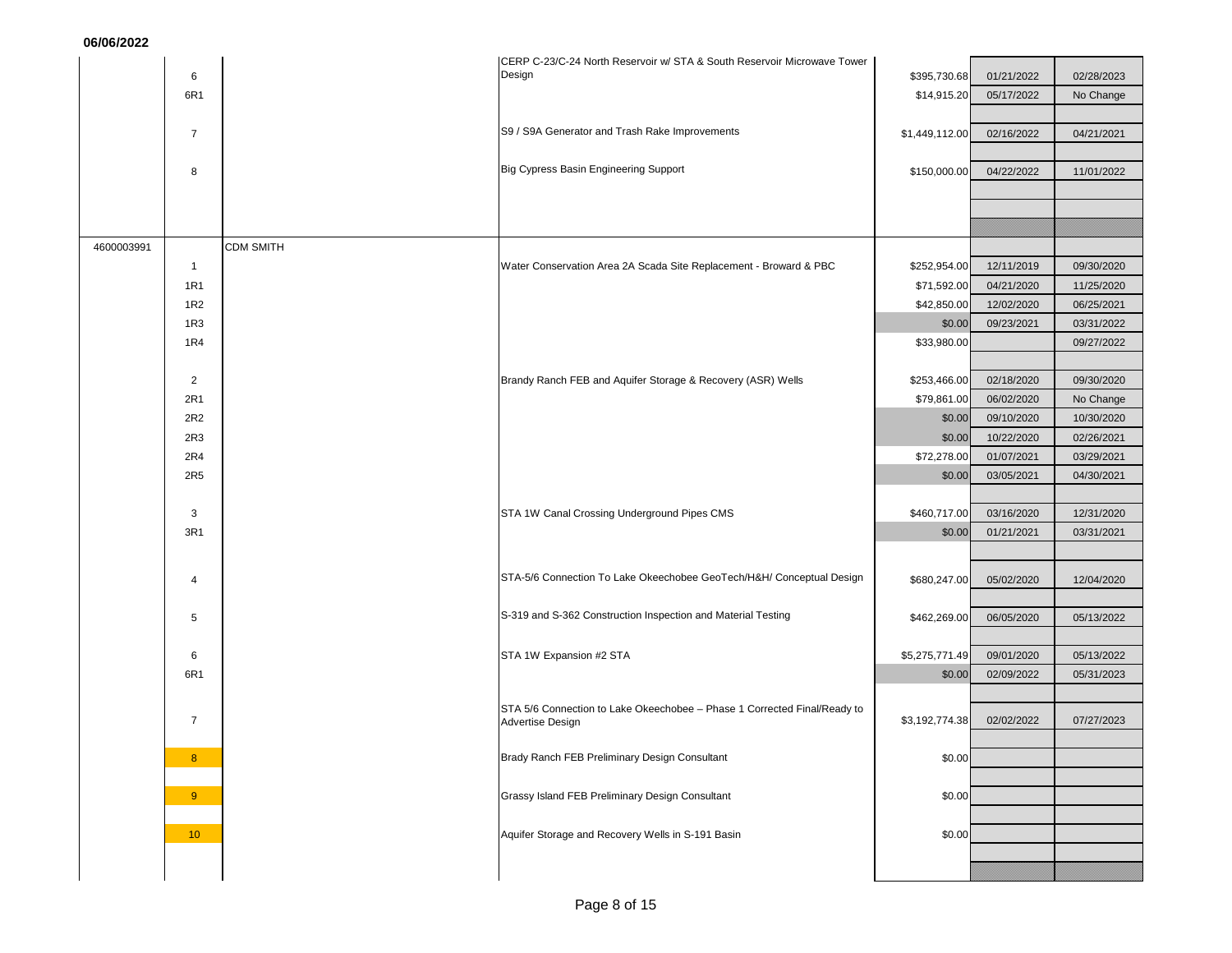|            |                 |                  | CERP C-23/C-24 North Reservoir w/ STA & South Reservoir Microwave Tower  |                |            |            |
|------------|-----------------|------------------|--------------------------------------------------------------------------|----------------|------------|------------|
|            | 6               |                  | Design                                                                   | \$395,730.68   | 01/21/2022 | 02/28/2023 |
|            | 6R1             |                  |                                                                          | \$14,915.20    | 05/17/2022 | No Change  |
|            |                 |                  |                                                                          |                |            |            |
|            | $\overline{7}$  |                  | S9 / S9A Generator and Trash Rake Improvements                           | \$1,449,112.00 | 02/16/2022 | 04/21/2021 |
|            |                 |                  |                                                                          |                |            |            |
|            | 8               |                  | Big Cypress Basin Engineering Support                                    | \$150,000.00   | 04/22/2022 | 11/01/2022 |
|            |                 |                  |                                                                          |                |            |            |
|            |                 |                  |                                                                          |                |            |            |
|            |                 |                  |                                                                          |                |            |            |
| 4600003991 |                 | <b>CDM SMITH</b> |                                                                          |                |            |            |
|            | $\mathbf{1}$    |                  | Water Conservation Area 2A Scada Site Replacement - Broward & PBC        | \$252,954.00   | 12/11/2019 | 09/30/2020 |
|            | <b>1R1</b>      |                  |                                                                          | \$71,592.00    | 04/21/2020 | 11/25/2020 |
|            | 1R <sub>2</sub> |                  |                                                                          | \$42,850.00    | 12/02/2020 | 06/25/2021 |
|            | 1R3             |                  |                                                                          | \$0.00         | 09/23/2021 | 03/31/2022 |
|            | 1R4             |                  |                                                                          | \$33,980.00    |            | 09/27/2022 |
|            |                 |                  |                                                                          |                |            |            |
|            | 2               |                  | Brandy Ranch FEB and Aquifer Storage & Recovery (ASR) Wells              | \$253,466.00   | 02/18/2020 | 09/30/2020 |
|            | 2R1             |                  |                                                                          | \$79,861.00    | 06/02/2020 | No Change  |
|            | 2R2             |                  |                                                                          | \$0.00         | 09/10/2020 | 10/30/2020 |
|            | 2R3             |                  |                                                                          | \$0.00         | 10/22/2020 | 02/26/2021 |
|            | 2R4             |                  |                                                                          | \$72,278.00    | 01/07/2021 | 03/29/2021 |
|            | 2R <sub>5</sub> |                  |                                                                          | \$0.00         | 03/05/2021 | 04/30/2021 |
|            |                 |                  |                                                                          |                |            |            |
|            | 3               |                  | STA 1W Canal Crossing Underground Pipes CMS                              | \$460,717.00   | 03/16/2020 | 12/31/2020 |
|            | 3R1             |                  |                                                                          | \$0.00         | 01/21/2021 | 03/31/2021 |
|            |                 |                  |                                                                          |                |            |            |
|            |                 |                  | STA-5/6 Connection To Lake Okeechobee GeoTech/H&H/ Conceptual Design     | \$680,247.00   | 05/02/2020 | 12/04/2020 |
|            | 4               |                  |                                                                          |                |            |            |
|            | 5               |                  | S-319 and S-362 Construction Inspection and Material Testing             | \$462,269.00   | 06/05/2020 |            |
|            |                 |                  |                                                                          |                |            | 05/13/2022 |
|            | 6               |                  | STA 1W Expansion #2 STA                                                  | \$5,275,771.49 | 09/01/2020 | 05/13/2022 |
|            | 6R1             |                  |                                                                          | \$0.00         | 02/09/2022 | 05/31/2023 |
|            |                 |                  |                                                                          |                |            |            |
|            |                 |                  | STA 5/6 Connection to Lake Okeechobee - Phase 1 Corrected Final/Ready to |                |            |            |
|            | $\overline{7}$  |                  | Advertise Design                                                         | \$3,192,774.38 | 02/02/2022 | 07/27/2023 |
|            |                 |                  |                                                                          |                |            |            |
|            | 8               |                  | Brady Ranch FEB Preliminary Design Consultant                            | \$0.00         |            |            |
|            |                 |                  |                                                                          |                |            |            |
|            | 9 <sup>°</sup>  |                  | Grassy Island FEB Preliminary Design Consultant                          | \$0.00         |            |            |
|            |                 |                  |                                                                          |                |            |            |
|            | 10 <sub>1</sub> |                  | Aquifer Storage and Recovery Wells in S-191 Basin                        | \$0.00         |            |            |
|            |                 |                  |                                                                          |                |            |            |
|            |                 |                  |                                                                          |                |            |            |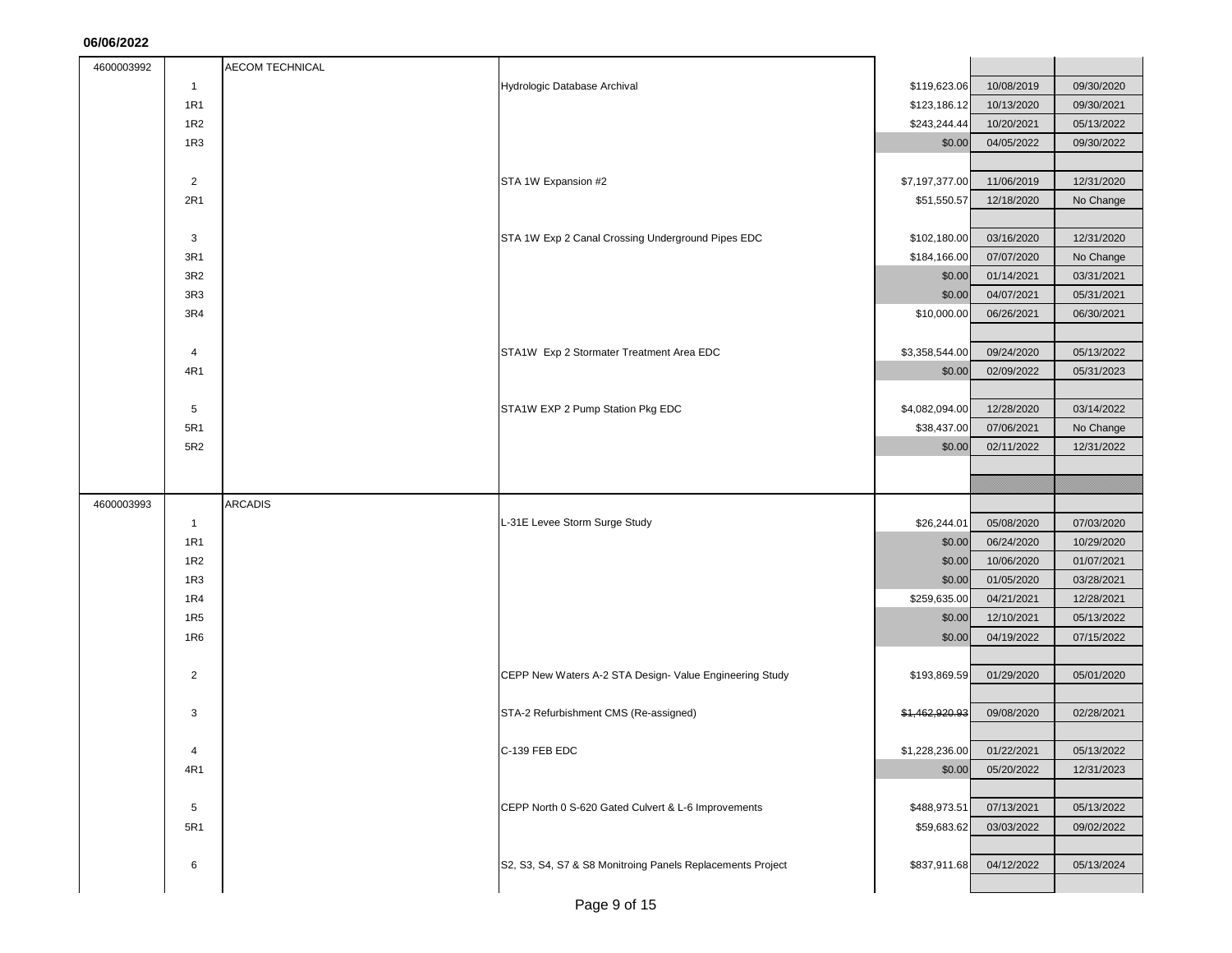| 4600003992 |                 | <b>AECOM TECHNICAL</b> |                                                            |                           |            |            |
|------------|-----------------|------------------------|------------------------------------------------------------|---------------------------|------------|------------|
|            | $\overline{1}$  |                        | Hydrologic Database Archival                               | \$119,623.06              | 10/08/2019 | 09/30/2020 |
|            | 1R1             |                        |                                                            | \$123,186.12              | 10/13/2020 | 09/30/2021 |
|            | 1R2             |                        |                                                            | \$243,244.44              | 10/20/2021 | 05/13/2022 |
|            | 1R3             |                        |                                                            | \$0.00                    | 04/05/2022 | 09/30/2022 |
|            |                 |                        |                                                            |                           |            |            |
|            | $\overline{2}$  |                        | STA 1W Expansion #2                                        | \$7,197,377.00            | 11/06/2019 | 12/31/2020 |
|            | 2R1             |                        |                                                            | \$51,550.57               | 12/18/2020 | No Change  |
|            |                 |                        |                                                            |                           |            |            |
|            | 3               |                        | STA 1W Exp 2 Canal Crossing Underground Pipes EDC          | \$102,180.00              | 03/16/2020 | 12/31/2020 |
|            | 3R1             |                        |                                                            | \$184,166.00              | 07/07/2020 | No Change  |
|            | 3R2             |                        |                                                            | \$0.00                    | 01/14/2021 | 03/31/2021 |
|            | 3R3             |                        |                                                            | \$0.00                    | 04/07/2021 | 05/31/2021 |
|            | 3R4             |                        |                                                            | \$10,000.00               | 06/26/2021 | 06/30/2021 |
|            |                 |                        |                                                            |                           |            |            |
|            | 4               |                        | STA1W Exp 2 Stormater Treatment Area EDC                   | \$3,358,544.00            | 09/24/2020 | 05/13/2022 |
|            | 4R1             |                        |                                                            | \$0.00                    | 02/09/2022 | 05/31/2023 |
|            |                 |                        |                                                            |                           |            |            |
|            | 5               |                        | STA1W EXP 2 Pump Station Pkg EDC                           | \$4,082,094.00            | 12/28/2020 | 03/14/2022 |
|            | 5R1             |                        |                                                            | \$38,437.00               | 07/06/2021 | No Change  |
|            | 5R2             |                        |                                                            | \$0.00                    | 02/11/2022 | 12/31/2022 |
|            |                 |                        |                                                            |                           |            |            |
|            |                 |                        |                                                            |                           |            |            |
| 4600003993 |                 | <b>ARCADIS</b>         |                                                            |                           |            |            |
|            | $\overline{1}$  |                        | L-31E Levee Storm Surge Study                              | \$26,244.01               | 05/08/2020 | 07/03/2020 |
|            | <b>1R1</b>      |                        |                                                            | \$0.00                    | 06/24/2020 | 10/29/2020 |
|            | 1R2             |                        |                                                            | \$0.00                    | 10/06/2020 | 01/07/2021 |
|            | 1R3             |                        |                                                            | \$0.00                    | 01/05/2020 | 03/28/2021 |
|            | 1R4             |                        |                                                            | \$259,635.00              | 04/21/2021 | 12/28/2021 |
|            | 1R <sub>5</sub> |                        |                                                            | \$0.00                    | 12/10/2021 | 05/13/2022 |
|            | 1R6             |                        |                                                            | \$0.00                    | 04/19/2022 | 07/15/2022 |
|            |                 |                        |                                                            |                           |            |            |
|            | $\overline{2}$  |                        | CEPP New Waters A-2 STA Design- Value Engineering Study    | \$193,869.59              | 01/29/2020 | 05/01/2020 |
|            |                 |                        |                                                            |                           |            |            |
|            | 3               |                        | STA-2 Refurbishment CMS (Re-assigned)                      | \$1,462,920.93            | 09/08/2020 | 02/28/2021 |
|            |                 |                        |                                                            |                           |            |            |
|            | 4               |                        | C-139 FEB EDC                                              | \$1,228,236.00 01/22/2021 |            | 05/13/2022 |
|            | 4R1             |                        |                                                            | \$0.00                    | 05/20/2022 | 12/31/2023 |
|            |                 |                        |                                                            |                           |            |            |
|            | 5               |                        | CEPP North 0 S-620 Gated Culvert & L-6 Improvements        | \$488,973.51              | 07/13/2021 | 05/13/2022 |
|            | 5R1             |                        |                                                            | \$59,683.62               | 03/03/2022 | 09/02/2022 |
|            |                 |                        |                                                            |                           |            |            |
|            | 6               |                        | S2, S3, S4, S7 & S8 Monitroing Panels Replacements Project | \$837,911.68              | 04/12/2022 | 05/13/2024 |
|            |                 |                        |                                                            |                           |            |            |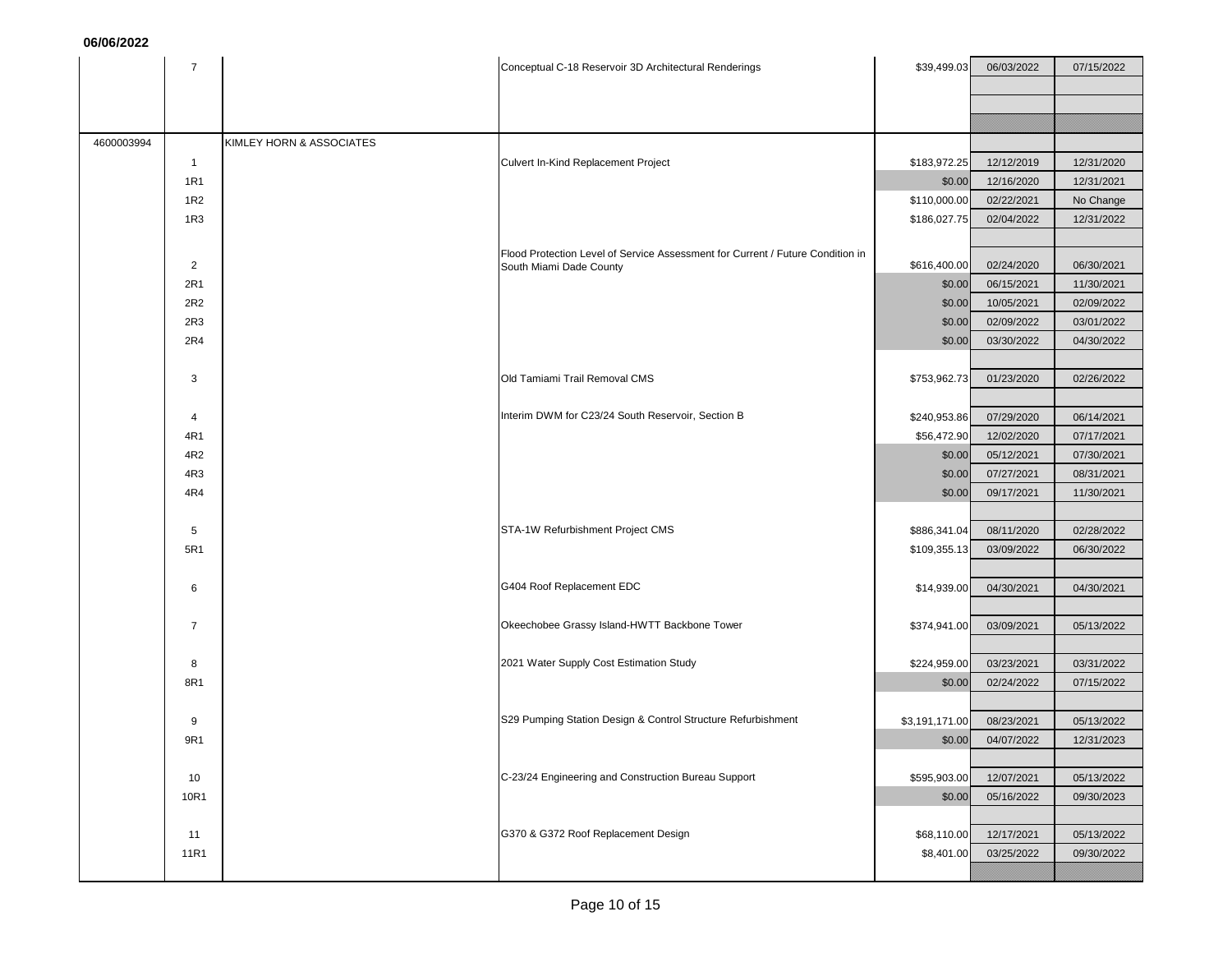|            | $\overline{7}$  |                          | Conceptual C-18 Reservoir 3D Architectural Renderings                                                     | \$39,499.03    | 06/03/2022 | 07/15/2022 |
|------------|-----------------|--------------------------|-----------------------------------------------------------------------------------------------------------|----------------|------------|------------|
|            |                 |                          |                                                                                                           |                |            |            |
|            |                 |                          |                                                                                                           |                |            |            |
|            |                 |                          |                                                                                                           |                |            |            |
| 4600003994 |                 | KIMLEY HORN & ASSOCIATES |                                                                                                           |                |            |            |
|            | $\mathbf{1}$    |                          | Culvert In-Kind Replacement Project                                                                       | \$183,972.25   | 12/12/2019 | 12/31/2020 |
|            | 1R1             |                          |                                                                                                           | \$0.00         | 12/16/2020 | 12/31/2021 |
|            | 1R2             |                          |                                                                                                           | \$110,000.00   | 02/22/2021 | No Change  |
|            | 1R3             |                          |                                                                                                           | \$186,027.75   | 02/04/2022 | 12/31/2022 |
|            |                 |                          |                                                                                                           |                |            |            |
|            | $\overline{2}$  |                          | Flood Protection Level of Service Assessment for Current / Future Condition in<br>South Miami Dade County | \$616,400.00   | 02/24/2020 | 06/30/2021 |
|            | 2R1             |                          |                                                                                                           | \$0.00         | 06/15/2021 | 11/30/2021 |
|            | 2R2             |                          |                                                                                                           | \$0.00         | 10/05/2021 | 02/09/2022 |
|            | 2R3             |                          |                                                                                                           | \$0.00         | 02/09/2022 | 03/01/2022 |
|            | 2R4             |                          |                                                                                                           | \$0.00         | 03/30/2022 | 04/30/2022 |
|            |                 |                          |                                                                                                           |                |            |            |
|            | 3               |                          | Old Tamiami Trail Removal CMS                                                                             | \$753,962.73   | 01/23/2020 | 02/26/2022 |
|            |                 |                          |                                                                                                           |                |            |            |
|            | 4               |                          | Interim DWM for C23/24 South Reservoir, Section B                                                         | \$240,953.86   | 07/29/2020 | 06/14/2021 |
|            | 4R1             |                          |                                                                                                           | \$56,472.90    | 12/02/2020 | 07/17/2021 |
|            | 4R2             |                          |                                                                                                           | \$0.00         | 05/12/2021 | 07/30/2021 |
|            | 4R <sub>3</sub> |                          |                                                                                                           | \$0.00         | 07/27/2021 | 08/31/2021 |
|            | 4R4             |                          |                                                                                                           | \$0.00         | 09/17/2021 | 11/30/2021 |
|            |                 |                          |                                                                                                           |                |            |            |
|            | 5               |                          | STA-1W Refurbishment Project CMS                                                                          | \$886,341.04   | 08/11/2020 | 02/28/2022 |
|            | 5R1             |                          |                                                                                                           | \$109,355.13   | 03/09/2022 | 06/30/2022 |
|            |                 |                          |                                                                                                           |                |            |            |
|            | 6               |                          | G404 Roof Replacement EDC                                                                                 | \$14,939.00    | 04/30/2021 | 04/30/2021 |
|            |                 |                          |                                                                                                           |                |            |            |
|            | $\overline{7}$  |                          | Okeechobee Grassy Island-HWTT Backbone Tower                                                              | \$374,941.00   | 03/09/2021 | 05/13/2022 |
|            |                 |                          |                                                                                                           |                |            |            |
|            | 8               |                          | 2021 Water Supply Cost Estimation Study                                                                   | \$224,959.00   | 03/23/2021 | 03/31/2022 |
|            | 8R1             |                          |                                                                                                           | \$0.00         | 02/24/2022 | 07/15/2022 |
|            |                 |                          |                                                                                                           |                |            |            |
|            | 9               |                          | S29 Pumping Station Design & Control Structure Refurbishment                                              | \$3,191,171.00 | 08/23/2021 | 05/13/2022 |
|            | 9R1             |                          |                                                                                                           | \$0.00         | 04/07/2022 | 12/31/2023 |
|            |                 |                          |                                                                                                           |                |            |            |
|            | 10              |                          | C-23/24 Engineering and Construction Bureau Support                                                       | \$595,903.00   | 12/07/2021 | 05/13/2022 |
|            | 10R1            |                          |                                                                                                           | \$0.00         | 05/16/2022 | 09/30/2023 |
|            |                 |                          |                                                                                                           |                |            |            |
|            | 11              |                          | G370 & G372 Roof Replacement Design                                                                       | \$68,110.00    | 12/17/2021 | 05/13/2022 |
|            | 11R1            |                          |                                                                                                           | \$8,401.00     | 03/25/2022 | 09/30/2022 |
|            |                 |                          |                                                                                                           |                |            |            |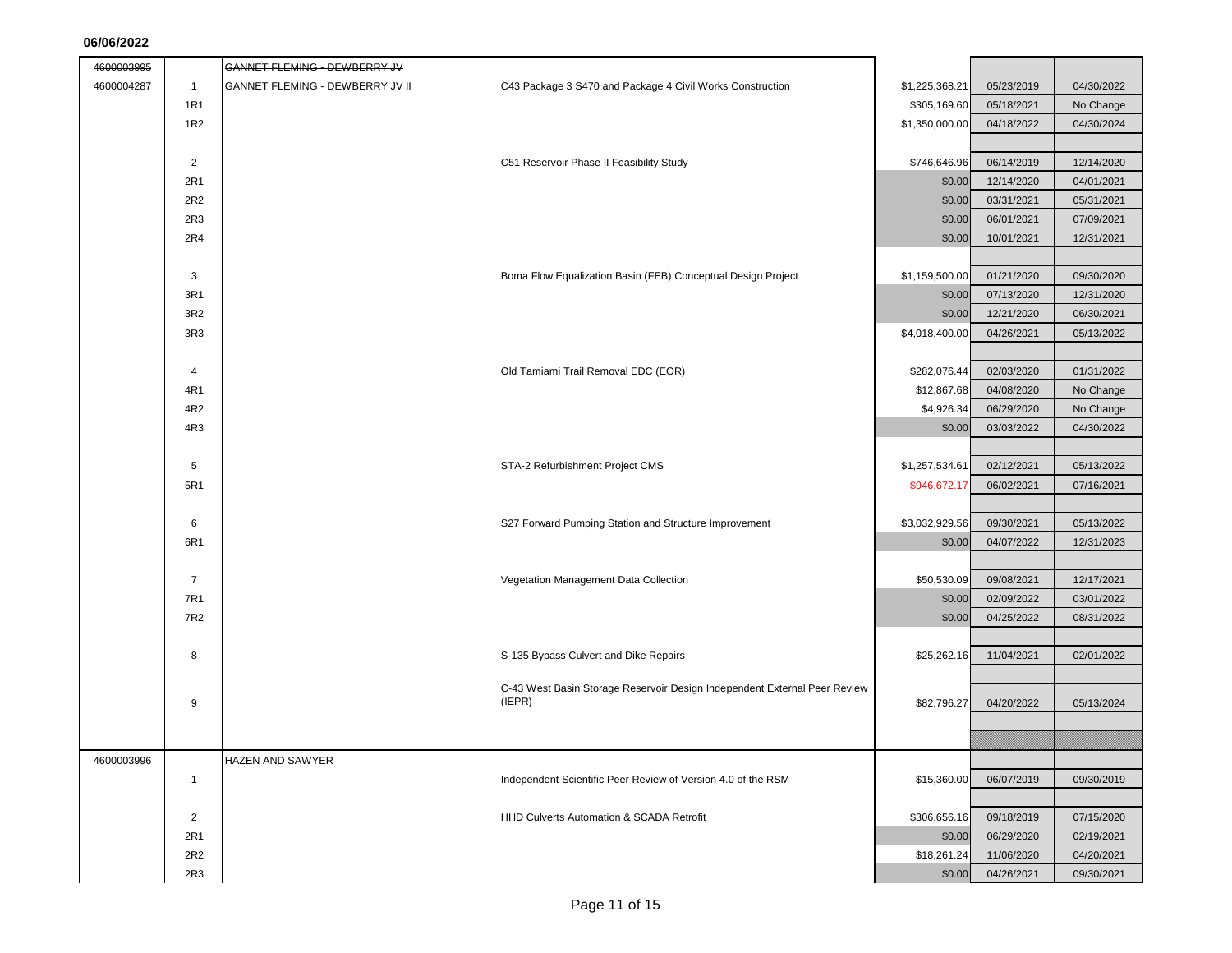| 4600003995 |                | GANNET FLEMING - DEWBERRY JV    |                                                                           |                  |            |            |
|------------|----------------|---------------------------------|---------------------------------------------------------------------------|------------------|------------|------------|
| 4600004287 | $\mathbf{1}$   | GANNET FLEMING - DEWBERRY JV II | C43 Package 3 S470 and Package 4 Civil Works Construction                 | \$1,225,368.21   | 05/23/2019 | 04/30/2022 |
|            | 1R1            |                                 |                                                                           | \$305,169.60     | 05/18/2021 | No Change  |
|            | 1R2            |                                 |                                                                           | \$1,350,000.00   | 04/18/2022 | 04/30/2024 |
|            |                |                                 |                                                                           |                  |            |            |
|            | $\overline{2}$ |                                 | C51 Reservoir Phase II Feasibility Study                                  | \$746,646.96     | 06/14/2019 | 12/14/2020 |
|            | 2R1            |                                 |                                                                           | \$0.00           | 12/14/2020 | 04/01/2021 |
|            | 2R2            |                                 |                                                                           | \$0.00           | 03/31/2021 | 05/31/2021 |
|            | 2R3            |                                 |                                                                           | \$0.00           | 06/01/2021 | 07/09/2021 |
|            | 2R4            |                                 |                                                                           | \$0.00           | 10/01/2021 | 12/31/2021 |
|            |                |                                 |                                                                           |                  |            |            |
|            | 3              |                                 | Boma Flow Equalization Basin (FEB) Conceptual Design Project              | \$1,159,500.00   | 01/21/2020 | 09/30/2020 |
|            | 3R1            |                                 |                                                                           | \$0.00           | 07/13/2020 | 12/31/2020 |
|            | 3R2            |                                 |                                                                           | \$0.00           | 12/21/2020 | 06/30/2021 |
|            | 3R3            |                                 |                                                                           | \$4,018,400.00   | 04/26/2021 | 05/13/2022 |
|            |                |                                 |                                                                           |                  |            |            |
|            | $\overline{4}$ |                                 | Old Tamiami Trail Removal EDC (EOR)                                       | \$282,076.44     | 02/03/2020 | 01/31/2022 |
|            | 4R1            |                                 |                                                                           | \$12,867.68      | 04/08/2020 | No Change  |
|            | 4R2            |                                 |                                                                           | \$4,926.34       | 06/29/2020 | No Change  |
|            | 4R3            |                                 |                                                                           | \$0.00           | 03/03/2022 | 04/30/2022 |
|            |                |                                 |                                                                           |                  |            |            |
|            | $\sqrt{5}$     |                                 | STA-2 Refurbishment Project CMS                                           | \$1,257,534.61   | 02/12/2021 | 05/13/2022 |
|            | 5R1            |                                 |                                                                           | $-$ \$946,672.17 | 06/02/2021 | 07/16/2021 |
|            |                |                                 |                                                                           |                  |            |            |
|            | 6              |                                 | S27 Forward Pumping Station and Structure Improvement                     | \$3,032,929.56   | 09/30/2021 | 05/13/2022 |
|            | 6R1            |                                 |                                                                           | \$0.00           | 04/07/2022 | 12/31/2023 |
|            |                |                                 |                                                                           |                  |            |            |
|            | $\overline{7}$ |                                 | Vegetation Management Data Collection                                     | \$50,530.09      | 09/08/2021 | 12/17/2021 |
|            | 7R1            |                                 |                                                                           | \$0.00           | 02/09/2022 | 03/01/2022 |
|            | 7R2            |                                 |                                                                           | \$0.00           | 04/25/2022 | 08/31/2022 |
|            |                |                                 |                                                                           |                  |            |            |
|            | 8              |                                 | S-135 Bypass Culvert and Dike Repairs                                     | \$25,262.16      | 11/04/2021 | 02/01/2022 |
|            |                |                                 | C-43 West Basin Storage Reservoir Design Independent External Peer Review |                  |            |            |
|            | 9              |                                 | (IEPR)                                                                    | \$82,796.27      | 04/20/2022 | 05/13/2024 |
|            |                |                                 |                                                                           |                  |            |            |
|            |                |                                 |                                                                           |                  |            |            |
| 4600003996 |                | HAZEN AND SAWYER                |                                                                           |                  |            |            |
|            | $\mathbf{1}$   |                                 | Independent Scientific Peer Review of Version 4.0 of the RSM              | \$15,360.00      | 06/07/2019 | 09/30/2019 |
|            |                |                                 |                                                                           |                  |            |            |
|            | $\overline{2}$ |                                 | HHD Culverts Automation & SCADA Retrofit                                  | \$306,656.16     | 09/18/2019 | 07/15/2020 |
|            | 2R1            |                                 |                                                                           | \$0.00           | 06/29/2020 | 02/19/2021 |
|            | 2R2            |                                 |                                                                           | \$18,261.24      | 11/06/2020 | 04/20/2021 |
|            | 2R3            |                                 |                                                                           | \$0.00           | 04/26/2021 | 09/30/2021 |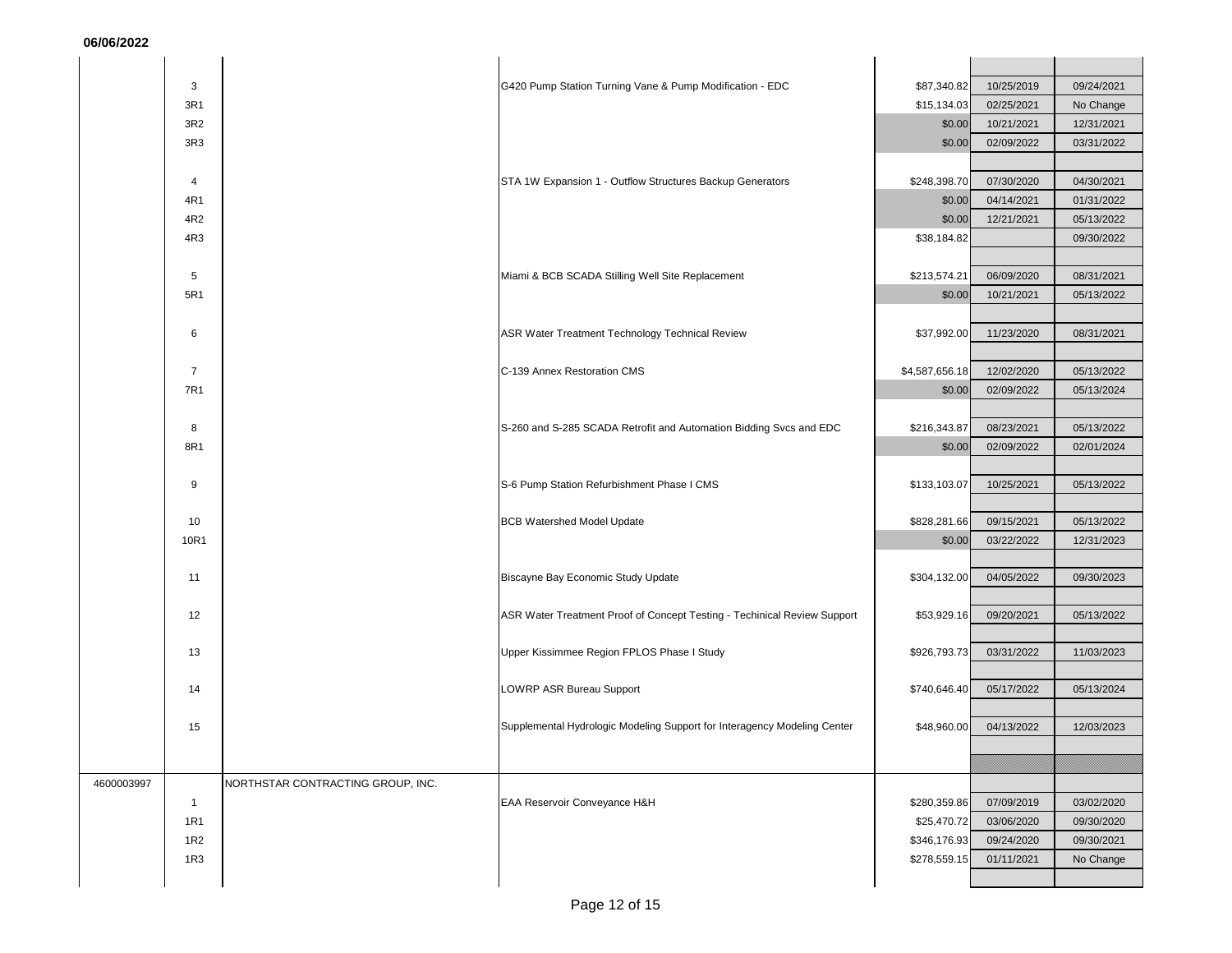|            | 3              |                                   | G420 Pump Station Turning Vane & Pump Modification - EDC                 | \$87,340.82    | 10/25/2019 | 09/24/2021 |
|------------|----------------|-----------------------------------|--------------------------------------------------------------------------|----------------|------------|------------|
|            | 3R1            |                                   |                                                                          | \$15,134.03    | 02/25/2021 | No Change  |
|            | 3R2            |                                   |                                                                          | \$0.00         | 10/21/2021 | 12/31/2021 |
|            | 3R3            |                                   |                                                                          | \$0.00         | 02/09/2022 | 03/31/2022 |
|            |                |                                   |                                                                          |                |            |            |
|            | $\overline{4}$ |                                   | STA 1W Expansion 1 - Outflow Structures Backup Generators                | \$248,398.70   | 07/30/2020 | 04/30/2021 |
|            | 4R1            |                                   |                                                                          | \$0.00         | 04/14/2021 | 01/31/2022 |
|            | 4R2            |                                   |                                                                          | \$0.00         | 12/21/2021 | 05/13/2022 |
|            | 4R3            |                                   |                                                                          | \$38,184.82    |            | 09/30/2022 |
|            |                |                                   |                                                                          |                |            |            |
|            | 5              |                                   | Miami & BCB SCADA Stilling Well Site Replacement                         | \$213,574.21   | 06/09/2020 | 08/31/2021 |
|            | 5R1            |                                   |                                                                          | \$0.00         | 10/21/2021 | 05/13/2022 |
|            |                |                                   |                                                                          |                |            |            |
|            | 6              |                                   | ASR Water Treatment Technology Technical Review                          | \$37,992.00    | 11/23/2020 | 08/31/2021 |
|            |                |                                   |                                                                          |                |            |            |
|            | $\overline{7}$ |                                   | C-139 Annex Restoration CMS                                              | \$4,587,656.18 | 12/02/2020 | 05/13/2022 |
|            | 7R1            |                                   |                                                                          | \$0.00         | 02/09/2022 | 05/13/2024 |
|            |                |                                   |                                                                          |                |            |            |
|            | 8              |                                   | S-260 and S-285 SCADA Retrofit and Automation Bidding Svcs and EDC       | \$216,343.87   | 08/23/2021 | 05/13/2022 |
|            | 8R1            |                                   |                                                                          | \$0.00         | 02/09/2022 | 02/01/2024 |
|            |                |                                   |                                                                          |                |            |            |
|            | 9              |                                   | S-6 Pump Station Refurbishment Phase I CMS                               | \$133,103.07   | 10/25/2021 | 05/13/2022 |
|            |                |                                   |                                                                          |                |            |            |
|            | 10             |                                   | <b>BCB Watershed Model Update</b>                                        | \$828,281.66   | 09/15/2021 | 05/13/2022 |
|            | 10R1           |                                   |                                                                          | \$0.00         | 03/22/2022 | 12/31/2023 |
|            |                |                                   |                                                                          |                |            |            |
|            | 11             |                                   | Biscayne Bay Economic Study Update                                       | \$304,132.00   | 04/05/2022 | 09/30/2023 |
|            |                |                                   |                                                                          |                |            |            |
|            | 12             |                                   | ASR Water Treatment Proof of Concept Testing - Techinical Review Support | \$53,929.16    | 09/20/2021 | 05/13/2022 |
|            |                |                                   |                                                                          |                |            |            |
|            | 13             |                                   | Upper Kissimmee Region FPLOS Phase I Study                               | \$926,793.73   | 03/31/2022 | 11/03/2023 |
|            |                |                                   |                                                                          |                |            | 05/13/2024 |
|            | 14             |                                   | LOWRP ASR Bureau Support                                                 | \$740,646.40   | 05/17/2022 |            |
|            | 15             |                                   | Supplemental Hydrologic Modeling Support for Interagency Modeling Center | \$48,960.00    | 04/13/2022 | 12/03/2023 |
|            |                |                                   |                                                                          |                |            |            |
|            |                |                                   |                                                                          |                |            |            |
| 4600003997 |                | NORTHSTAR CONTRACTING GROUP, INC. |                                                                          |                |            |            |
|            | $\mathbf{1}$   |                                   | EAA Reservoir Conveyance H&H                                             | \$280,359.86   | 07/09/2019 | 03/02/2020 |
|            | 1R1            |                                   |                                                                          | \$25,470.72    | 03/06/2020 | 09/30/2020 |
|            | 1R2            |                                   |                                                                          | \$346,176.93   | 09/24/2020 | 09/30/2021 |
|            | 1R3            |                                   |                                                                          | \$278,559.15   | 01/11/2021 | No Change  |
|            |                |                                   |                                                                          |                |            |            |
|            |                |                                   |                                                                          |                |            |            |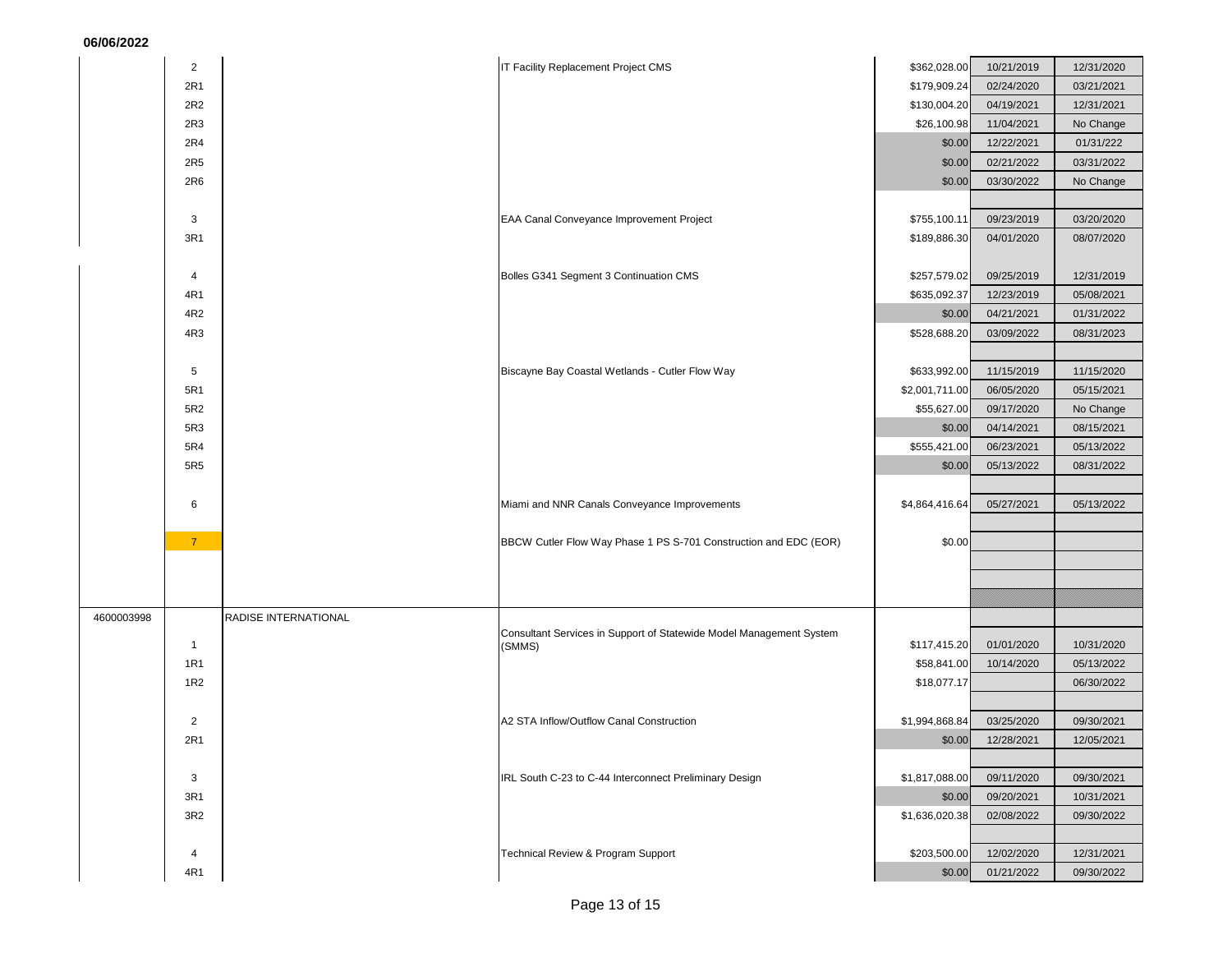|            | $\overline{2}$  |                      | IT Facility Replacement Project CMS                                           | \$362,028.00   | 10/21/2019 | 12/31/2020 |
|------------|-----------------|----------------------|-------------------------------------------------------------------------------|----------------|------------|------------|
|            | 2R1             |                      |                                                                               | \$179,909.24   | 02/24/2020 | 03/21/2021 |
|            | 2R2             |                      |                                                                               | \$130,004.20   | 04/19/2021 | 12/31/2021 |
|            | 2R3             |                      |                                                                               | \$26,100.98    | 11/04/2021 | No Change  |
|            | 2R4             |                      |                                                                               | \$0.00         | 12/22/2021 | 01/31/222  |
|            | 2R5             |                      |                                                                               | \$0.00         | 02/21/2022 | 03/31/2022 |
|            | 2R6             |                      |                                                                               | \$0.00         | 03/30/2022 | No Change  |
|            |                 |                      |                                                                               |                |            |            |
|            | 3               |                      | EAA Canal Conveyance Improvement Project                                      | \$755,100.11   | 09/23/2019 | 03/20/2020 |
|            | 3R1             |                      |                                                                               | \$189,886.30   | 04/01/2020 | 08/07/2020 |
|            |                 |                      |                                                                               |                |            |            |
|            | 4               |                      | Bolles G341 Segment 3 Continuation CMS                                        | \$257,579.02   | 09/25/2019 | 12/31/2019 |
|            | 4R1             |                      |                                                                               | \$635,092.37   | 12/23/2019 | 05/08/2021 |
|            | 4R2             |                      |                                                                               | \$0.00         | 04/21/2021 | 01/31/2022 |
|            | 4R3             |                      |                                                                               | \$528,688.20   | 03/09/2022 | 08/31/2023 |
|            |                 |                      |                                                                               |                |            |            |
|            | 5               |                      | Biscayne Bay Coastal Wetlands - Cutler Flow Way                               | \$633,992.00   | 11/15/2019 | 11/15/2020 |
|            | 5R1             |                      |                                                                               | \$2,001,711.00 | 06/05/2020 | 05/15/2021 |
|            | 5R2             |                      |                                                                               | \$55,627.00    | 09/17/2020 | No Change  |
|            | 5R3             |                      |                                                                               | \$0.00         | 04/14/2021 | 08/15/2021 |
|            | 5R4             |                      |                                                                               | \$555,421.00   | 06/23/2021 | 05/13/2022 |
|            | 5R5             |                      |                                                                               | \$0.00         | 05/13/2022 | 08/31/2022 |
|            |                 |                      |                                                                               |                |            |            |
|            | 6               |                      | Miami and NNR Canals Conveyance Improvements                                  | \$4,864,416.64 | 05/27/2021 | 05/13/2022 |
|            |                 |                      |                                                                               |                |            |            |
|            | $\overline{7}$  |                      | BBCW Cutler Flow Way Phase 1 PS S-701 Construction and EDC (EOR)              | \$0.00         |            |            |
|            |                 |                      |                                                                               |                |            |            |
|            |                 |                      |                                                                               |                |            |            |
|            |                 |                      |                                                                               |                |            |            |
| 4600003998 |                 | RADISE INTERNATIONAL |                                                                               |                |            |            |
|            | $\overline{1}$  |                      | Consultant Services in Support of Statewide Model Management System<br>(SMMS) | \$117,415.20   | 01/01/2020 | 10/31/2020 |
|            | 1R1             |                      |                                                                               | \$58,841.00    | 10/14/2020 | 05/13/2022 |
|            | 1 <sub>R2</sub> |                      |                                                                               | \$18,077.17    |            | 06/30/2022 |
|            |                 |                      |                                                                               |                |            |            |
|            | $\overline{2}$  |                      | A2 STA Inflow/Outflow Canal Construction                                      | \$1,994,868.84 | 03/25/2020 | 09/30/2021 |
|            | 2R1             |                      |                                                                               | \$0.00         | 12/28/2021 | 12/05/2021 |
|            |                 |                      |                                                                               |                |            |            |
|            | 3               |                      | IRL South C-23 to C-44 Interconnect Preliminary Design                        | \$1,817,088.00 | 09/11/2020 | 09/30/2021 |
|            | 3R1             |                      |                                                                               | \$0.00         | 09/20/2021 | 10/31/2021 |
|            | 3R2             |                      |                                                                               | \$1,636,020.38 | 02/08/2022 | 09/30/2022 |
|            |                 |                      |                                                                               |                |            |            |
|            | 4               |                      | Technical Review & Program Support                                            | \$203,500.00   | 12/02/2020 | 12/31/2021 |
|            | 4R1             |                      |                                                                               | \$0.00         | 01/21/2022 | 09/30/2022 |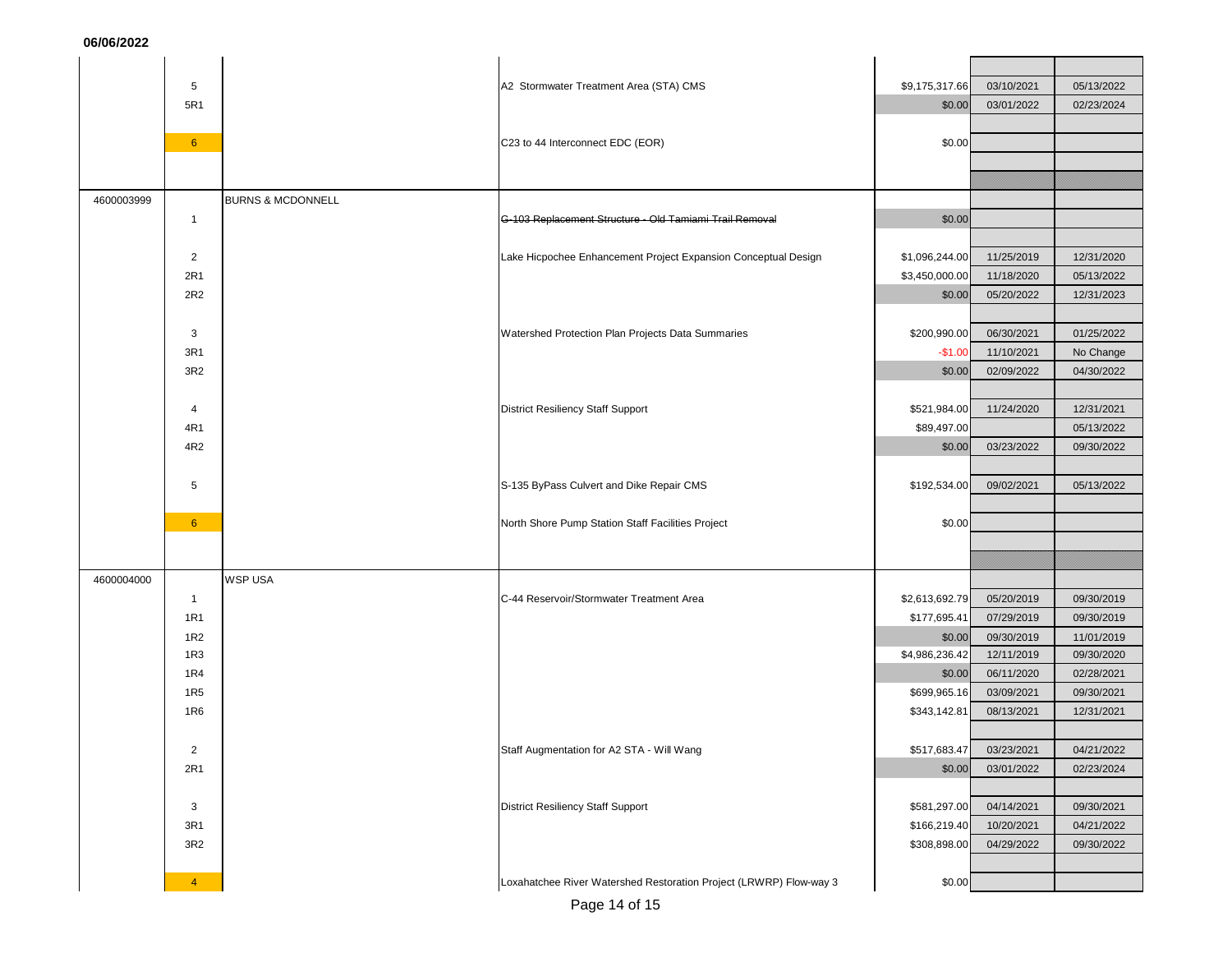|            | 5               |                              | A2 Stormwater Treatment Area (STA) CMS                             | \$9,175,317.66 | 03/10/2021              | 05/13/2022 |
|------------|-----------------|------------------------------|--------------------------------------------------------------------|----------------|-------------------------|------------|
|            | 5R1             |                              |                                                                    | \$0.00         | 03/01/2022              | 02/23/2024 |
|            |                 |                              |                                                                    |                |                         |            |
|            | $6^{\circ}$     |                              | C23 to 44 Interconnect EDC (EOR)                                   | \$0.00         |                         |            |
|            |                 |                              |                                                                    |                |                         |            |
|            |                 |                              |                                                                    |                |                         |            |
| 4600003999 |                 | <b>BURNS &amp; MCDONNELL</b> |                                                                    |                |                         |            |
|            | $\mathbf{1}$    |                              | G-103 Replacement Structure - Old Tamiami Trail Removal            | \$0.00         |                         |            |
|            |                 |                              |                                                                    |                |                         |            |
|            | $\overline{2}$  |                              | Lake Hicpochee Enhancement Project Expansion Conceptual Design     | \$1,096,244.00 | 11/25/2019              | 12/31/2020 |
|            | 2R1             |                              |                                                                    | \$3,450,000.00 | 11/18/2020              | 05/13/2022 |
|            | 2R2             |                              |                                                                    | \$0.00         | 05/20/2022              | 12/31/2023 |
|            |                 |                              |                                                                    |                |                         |            |
|            | 3               |                              | Watershed Protection Plan Projects Data Summaries                  | \$200,990.00   | 06/30/2021              | 01/25/2022 |
|            | 3R1             |                              |                                                                    | $-$1.00$       | 11/10/2021              | No Change  |
|            | 3R <sub>2</sub> |                              |                                                                    | \$0.00         | 02/09/2022              | 04/30/2022 |
|            |                 |                              |                                                                    |                |                         |            |
|            | $\overline{4}$  |                              | <b>District Resiliency Staff Support</b>                           | \$521,984.00   | 11/24/2020              | 12/31/2021 |
|            | 4R1             |                              |                                                                    | \$89,497.00    |                         | 05/13/2022 |
|            | 4R2             |                              |                                                                    | \$0.00         | 03/23/2022              | 09/30/2022 |
|            |                 |                              |                                                                    |                |                         |            |
|            | 5               |                              | S-135 ByPass Culvert and Dike Repair CMS                           | \$192,534.00   | 09/02/2021              | 05/13/2022 |
|            |                 |                              |                                                                    |                |                         |            |
|            | $6^{\circ}$     |                              | North Shore Pump Station Staff Facilities Project                  | \$0.00         |                         |            |
|            |                 |                              |                                                                    |                |                         |            |
|            |                 |                              |                                                                    |                |                         |            |
| 4600004000 |                 | <b>WSP USA</b>               |                                                                    |                |                         |            |
|            | $\mathbf{1}$    |                              | C-44 Reservoir/Stormwater Treatment Area                           | \$2,613,692.79 | 05/20/2019              | 09/30/2019 |
|            | <b>1R1</b>      |                              |                                                                    | \$177,695.41   | 07/29/2019              | 09/30/2019 |
|            | 1R <sub>2</sub> |                              |                                                                    | \$0.00         | 09/30/2019              | 11/01/2019 |
|            | 1R3             |                              |                                                                    | \$4,986,236.42 | 12/11/2019              | 09/30/2020 |
|            | 1R4             |                              |                                                                    | \$0.00         | 06/11/2020              | 02/28/2021 |
|            | <b>1R5</b>      |                              |                                                                    | \$699,965.16   | 03/09/2021              | 09/30/2021 |
|            | 1 <sub>R6</sub> |                              |                                                                    | \$343,142.81   | 08/13/2021              | 12/31/2021 |
|            |                 |                              |                                                                    |                |                         |            |
|            | $\overline{2}$  |                              | Staff Augmentation for A2 STA - Will Wang                          |                | \$517,683.47 03/23/2021 | 04/21/2022 |
|            | 2R1             |                              |                                                                    | \$0.00         | 03/01/2022              | 02/23/2024 |
|            |                 |                              |                                                                    |                |                         |            |
|            | 3               |                              | <b>District Resiliency Staff Support</b>                           | \$581,297.00   | 04/14/2021              | 09/30/2021 |
|            | 3R1             |                              |                                                                    | \$166,219.40   | 10/20/2021              | 04/21/2022 |
|            | 3R2             |                              |                                                                    | \$308,898.00   | 04/29/2022              | 09/30/2022 |
|            |                 |                              |                                                                    |                |                         |            |
|            | $\overline{4}$  |                              | Loxahatchee River Watershed Restoration Project (LRWRP) Flow-way 3 | \$0.00         |                         |            |